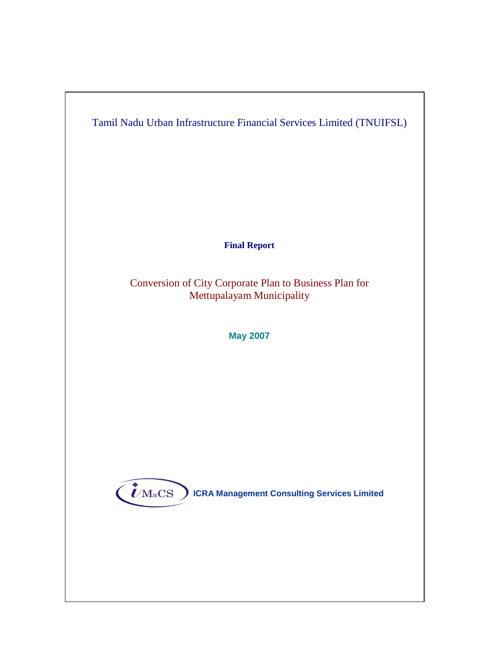

**Final Report** 

Conversion of City Corporate Plan to Business Plan for Mettupalayam Municipality

**May 2007** 



 $\left(\boldsymbol{\ell}_{\rm MacS}\right)$  ICRA Management Consulting Services Limited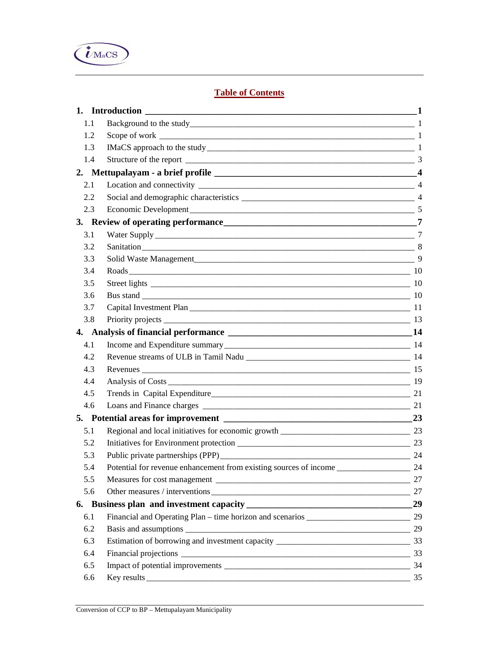

# **Table of Contents**

| 1.1 |                                                                   |    |
|-----|-------------------------------------------------------------------|----|
| 1.2 |                                                                   |    |
| 1.3 |                                                                   |    |
| 1.4 |                                                                   |    |
|     |                                                                   |    |
| 2.1 |                                                                   |    |
| 2.2 |                                                                   |    |
| 2.3 |                                                                   |    |
|     |                                                                   |    |
| 3.1 |                                                                   |    |
| 3.2 |                                                                   |    |
| 3.3 |                                                                   |    |
| 3.4 |                                                                   |    |
| 3.5 |                                                                   |    |
| 3.6 |                                                                   |    |
| 3.7 |                                                                   |    |
| 3.8 |                                                                   |    |
|     |                                                                   |    |
| 4.1 |                                                                   |    |
| 4.2 |                                                                   |    |
| 4.3 |                                                                   |    |
| 4.4 |                                                                   |    |
| 4.5 |                                                                   |    |
| 4.6 |                                                                   |    |
|     |                                                                   |    |
| 5.1 |                                                                   |    |
| 5.2 |                                                                   |    |
| 5.3 |                                                                   | 24 |
| 5.4 | Potential for revenue enhancement from existing sources of income | 24 |
| 5.5 |                                                                   | 27 |
| 5.6 |                                                                   |    |
|     |                                                                   | 29 |
| 6.1 |                                                                   |    |
| 6.2 |                                                                   | 29 |
| 6.3 |                                                                   |    |
| 6.4 |                                                                   |    |
| 6.5 |                                                                   |    |
| 6.6 |                                                                   | 35 |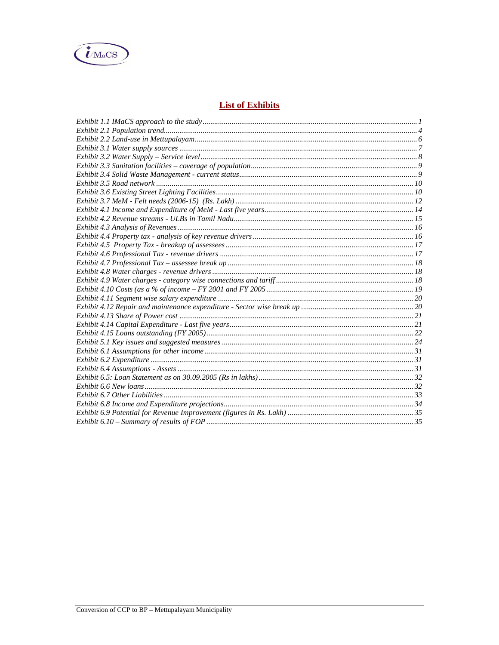

# **List of Exhibits**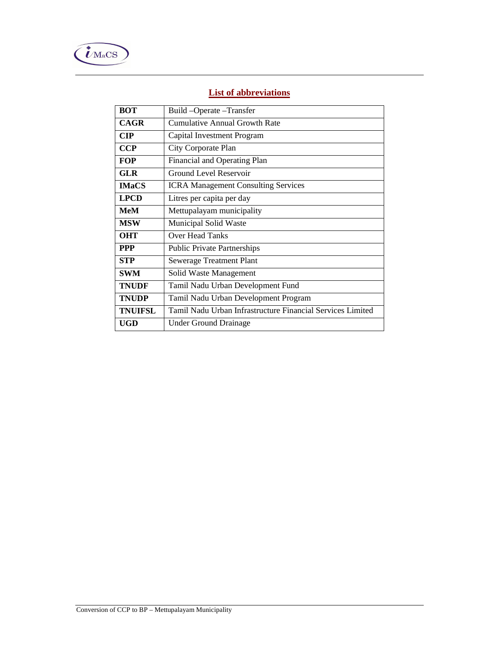

# **List of abbreviations**

| <b>BOT</b>     | Build-Operate-Transfer                                     |
|----------------|------------------------------------------------------------|
| <b>CAGR</b>    | Cumulative Annual Growth Rate                              |
| $\mathbf{CIP}$ | Capital Investment Program                                 |
| <b>CCP</b>     | City Corporate Plan                                        |
| <b>FOP</b>     | Financial and Operating Plan                               |
| <b>GLR</b>     | <b>Ground Level Reservoir</b>                              |
| <b>IMaCS</b>   | <b>ICRA Management Consulting Services</b>                 |
| <b>LPCD</b>    | Litres per capita per day                                  |
| MeM            | Mettupalayam municipality                                  |
| <b>MSW</b>     | Municipal Solid Waste                                      |
| <b>OHT</b>     | <b>Over Head Tanks</b>                                     |
| <b>PPP</b>     | <b>Public Private Partnerships</b>                         |
| <b>STP</b>     | <b>Sewerage Treatment Plant</b>                            |
| <b>SWM</b>     | Solid Waste Management                                     |
| <b>TNUDF</b>   | Tamil Nadu Urban Development Fund                          |
| <b>TNUDP</b>   | Tamil Nadu Urban Development Program                       |
| <b>TNUIFSL</b> | Tamil Nadu Urban Infrastructure Financial Services Limited |
| UGD            | Under Ground Drainage                                      |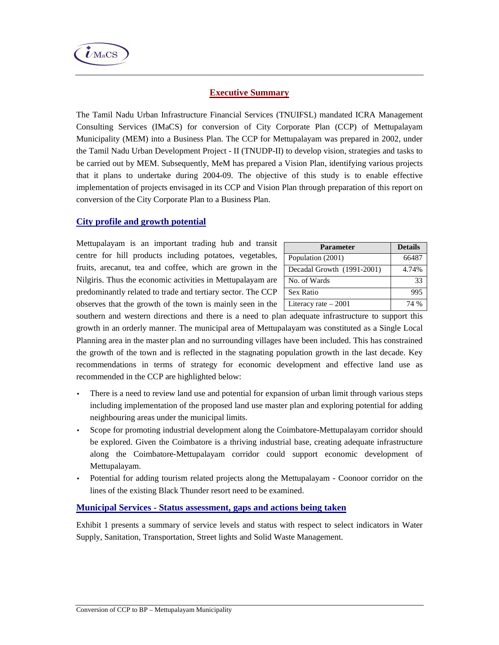

# **Executive Summary**

The Tamil Nadu Urban Infrastructure Financial Services (TNUIFSL) mandated ICRA Management Consulting Services (IMaCS) for conversion of City Corporate Plan (CCP) of Mettupalayam Municipality (MEM) into a Business Plan. The CCP for Mettupalayam was prepared in 2002, under the Tamil Nadu Urban Development Project - II (TNUDP-II) to develop vision, strategies and tasks to be carried out by MEM. Subsequently, MeM has prepared a Vision Plan, identifying various projects that it plans to undertake during 2004-09. The objective of this study is to enable effective implementation of projects envisaged in its CCP and Vision Plan through preparation of this report on conversion of the City Corporate Plan to a Business Plan.

# **City profile and growth potential**

Mettupalayam is an important trading hub and transit centre for hill products including potatoes, vegetables, fruits, arecanut, tea and coffee, which are grown in the Nilgiris. Thus the economic activities in Mettupalayam are predominantly related to trade and tertiary sector. The CCP observes that the growth of the town is mainly seen in the

| <b>Parameter</b>           | <b>Details</b> |
|----------------------------|----------------|
| Population (2001)          | 66487          |
| Decadal Growth (1991-2001) | 4.74%          |
| No. of Wards               | 33             |
| Sex Ratio                  | 995            |
| Literacy rate $-2001$      | 74 %           |

southern and western directions and there is a need to plan adequate infrastructure to support this growth in an orderly manner. The municipal area of Mettupalayam was constituted as a Single Local Planning area in the master plan and no surrounding villages have been included. This has constrained the growth of the town and is reflected in the stagnating population growth in the last decade. Key recommendations in terms of strategy for economic development and effective land use as recommended in the CCP are highlighted below:

- There is a need to review land use and potential for expansion of urban limit through various steps including implementation of the proposed land use master plan and exploring potential for adding neighbouring areas under the municipal limits.
- Scope for promoting industrial development along the Coimbatore-Mettupalayam corridor should be explored. Given the Coimbatore is a thriving industrial base, creating adequate infrastructure along the Coimbatore-Mettupalayam corridor could support economic development of Mettupalayam.
- Potential for adding tourism related projects along the Mettupalayam Coonoor corridor on the lines of the existing Black Thunder resort need to be examined.

## **Municipal Services - Status assessment, gaps and actions being taken**

Exhibit 1 presents a summary of service levels and status with respect to select indicators in Water Supply, Sanitation, Transportation, Street lights and Solid Waste Management.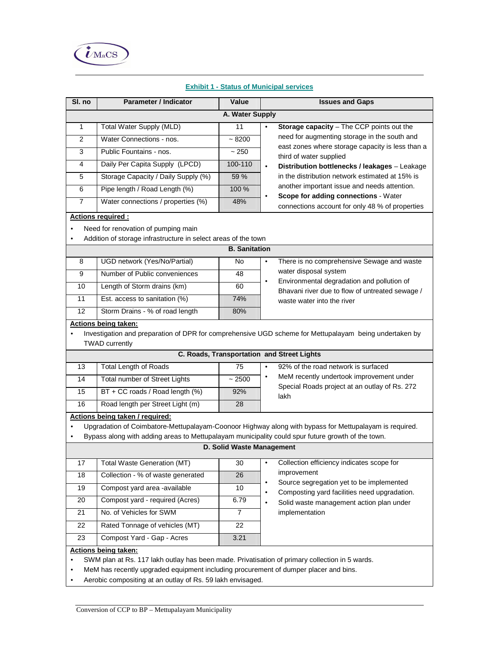

| SI. no                                                                                                                                                                                           | <b>Parameter / Indicator</b>                                   | Value                     | <b>Issues and Gaps</b>                                                                                     |  |  |
|--------------------------------------------------------------------------------------------------------------------------------------------------------------------------------------------------|----------------------------------------------------------------|---------------------------|------------------------------------------------------------------------------------------------------------|--|--|
| A. Water Supply                                                                                                                                                                                  |                                                                |                           |                                                                                                            |  |  |
| $\mathbf{1}$                                                                                                                                                                                     | Total Water Supply (MLD)                                       | 11                        | Storage capacity - The CCP points out the<br>$\bullet$                                                     |  |  |
| $\overline{2}$                                                                                                                                                                                   | Water Connections - nos.                                       | ~100                      | need for augmenting storage in the south and                                                               |  |  |
| 3                                                                                                                                                                                                | Public Fountains - nos.                                        | $~1$ 250                  | east zones where storage capacity is less than a<br>third of water supplied                                |  |  |
| 4                                                                                                                                                                                                | Daily Per Capita Supply (LPCD)                                 | 100-110                   | Distribution bottlenecks / leakages - Leakage<br>$\bullet$                                                 |  |  |
| 5                                                                                                                                                                                                | Storage Capacity / Daily Supply (%)                            | 59 %                      | in the distribution network estimated at 15% is                                                            |  |  |
| 6                                                                                                                                                                                                | Pipe length / Road Length (%)                                  | 100 %                     | another important issue and needs attention.                                                               |  |  |
| $\overline{7}$                                                                                                                                                                                   | Water connections / properties (%)                             | 48%                       | Scope for adding connections - Water<br>connections account for only 48 % of properties                    |  |  |
|                                                                                                                                                                                                  | Actions required :                                             |                           |                                                                                                            |  |  |
| $\bullet$                                                                                                                                                                                        | Need for renovation of pumping main                            |                           |                                                                                                            |  |  |
| $\bullet$                                                                                                                                                                                        | Addition of storage infrastructure in select areas of the town |                           |                                                                                                            |  |  |
|                                                                                                                                                                                                  |                                                                | <b>B.</b> Sanitation      |                                                                                                            |  |  |
| 8                                                                                                                                                                                                | UGD network (Yes/No/Partial)                                   | No                        | There is no comprehensive Sewage and waste<br>$\bullet$                                                    |  |  |
| 9                                                                                                                                                                                                | Number of Public conveniences                                  | 48                        | water disposal system                                                                                      |  |  |
| 10                                                                                                                                                                                               | Length of Storm drains (km)                                    | 60                        | Environmental degradation and pollution of<br>$\bullet$<br>Bhavani river due to flow of untreated sewage / |  |  |
| 11                                                                                                                                                                                               | Est. access to sanitation (%)                                  | 74%                       | waste water into the river                                                                                 |  |  |
| 12                                                                                                                                                                                               | Storm Drains - % of road length                                | 80%                       |                                                                                                            |  |  |
|                                                                                                                                                                                                  | <b>Actions being taken:</b>                                    |                           |                                                                                                            |  |  |
| $\bullet$                                                                                                                                                                                        |                                                                |                           | Investigation and preparation of DPR for comprehensive UGD scheme for Mettupalayam being undertaken by     |  |  |
|                                                                                                                                                                                                  | <b>TWAD</b> currently                                          |                           |                                                                                                            |  |  |
|                                                                                                                                                                                                  |                                                                |                           | C. Roads, Transportation and Street Lights                                                                 |  |  |
| 13                                                                                                                                                                                               | <b>Total Length of Roads</b>                                   | 75                        | 92% of the road network is surfaced<br>$\bullet$<br>MeM recently undertook improvement under<br>$\bullet$  |  |  |
| 14                                                                                                                                                                                               | Total number of Street Lights                                  | ~2500                     | Special Roads project at an outlay of Rs. 272                                                              |  |  |
| $\overline{15}$                                                                                                                                                                                  | BT + CC roads / Road length (%)                                | 92%                       | lakh                                                                                                       |  |  |
| 16                                                                                                                                                                                               | Road length per Street Light (m)                               | 28                        |                                                                                                            |  |  |
|                                                                                                                                                                                                  | Actions being taken / required:                                |                           | Upgradation of Coimbatore-Mettupalayam-Coonoor Highway along with bypass for Mettupalayam is required.     |  |  |
| ٠<br>٠                                                                                                                                                                                           |                                                                |                           | Bypass along with adding areas to Mettupalayam municipality could spur future growth of the town.          |  |  |
|                                                                                                                                                                                                  |                                                                | D. Solid Waste Management |                                                                                                            |  |  |
|                                                                                                                                                                                                  |                                                                |                           |                                                                                                            |  |  |
| 17                                                                                                                                                                                               | <b>Total Waste Generation (MT)</b>                             | 30                        | Collection efficiency indicates scope for<br>$\bullet$<br>improvement                                      |  |  |
| $\overline{18}$                                                                                                                                                                                  | Collection - % of waste generated                              | 26                        | Source segregation yet to be implemented<br>$\bullet$                                                      |  |  |
| 19                                                                                                                                                                                               | Compost yard area -available                                   | 10                        | Composting yard facilities need upgradation.<br>$\bullet$                                                  |  |  |
| 20                                                                                                                                                                                               | Compost yard - required (Acres)                                | 6.79                      | Solid waste management action plan under<br>$\bullet$                                                      |  |  |
| 21                                                                                                                                                                                               | No. of Vehicles for SWM                                        | $\overline{7}$            | implementation                                                                                             |  |  |
| 22                                                                                                                                                                                               | Rated Tonnage of vehicles (MT)                                 | 22                        |                                                                                                            |  |  |
| 23                                                                                                                                                                                               | Compost Yard - Gap - Acres                                     | 3.21                      |                                                                                                            |  |  |
|                                                                                                                                                                                                  | <b>Actions being taken:</b>                                    |                           |                                                                                                            |  |  |
| SWM plan at Rs. 117 lakh outlay has been made. Privatisation of primary collection in 5 wards.<br>٠<br>MeM has recently upgraded equipment including procurement of dumper placer and bins.<br>٠ |                                                                |                           |                                                                                                            |  |  |
| $\bullet$                                                                                                                                                                                        | Aerobic compositing at an outlay of Rs. 59 lakh envisaged.     |                           |                                                                                                            |  |  |

## **Exhibit 1 - Status of Municipal services**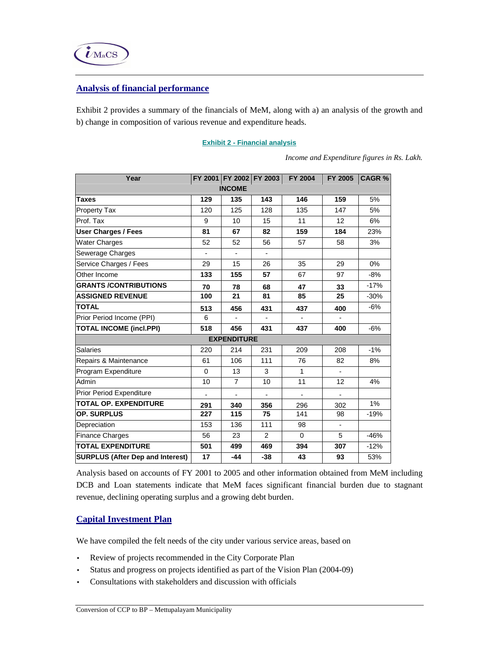

## **Analysis of financial performance**

Exhibit 2 provides a summary of the financials of MeM, along with a) an analysis of the growth and b) change in composition of various revenue and expenditure heads.

| Year                                    |                |                    | FY 2001 FY 2002 FY 2003 | <b>FY 2004</b> | FY 2005 | <b>CAGR%</b> |  |
|-----------------------------------------|----------------|--------------------|-------------------------|----------------|---------|--------------|--|
| <b>INCOME</b>                           |                |                    |                         |                |         |              |  |
| <b>Taxes</b>                            | 129            | 135                | 143                     | 146            | 159     | 5%           |  |
| <b>Property Tax</b>                     | 120            | 125                | 128                     | 135            | 147     | 5%           |  |
| Prof. Tax                               | 9              | 10                 | 15                      | 11             | 12      | 6%           |  |
| <b>User Charges / Fees</b>              | 81             | 67                 | 82                      | 159            | 184     | 23%          |  |
| <b>Water Charges</b>                    | 52             | 52                 | 56                      | 57             | 58      | 3%           |  |
| Sewerage Charges                        | $\blacksquare$ |                    |                         |                |         |              |  |
| Service Charges / Fees                  | 29             | 15                 | 26                      | 35             | 29      | 0%           |  |
| Other Income                            | 133            | 155                | 57                      | 67             | 97      | -8%          |  |
| <b>GRANTS /CONTRIBUTIONS</b>            | 70             | 78                 | 68                      | 47             | 33      | $-17%$       |  |
| <b>ASSIGNED REVENUE</b>                 | 100            | 21                 | 81                      | 85             | 25      | $-30%$       |  |
| <b>TOTAL</b>                            | 513            | 456                | 431                     | 437            | 400     | $-6%$        |  |
| Prior Period Income (PPI)               | 6              |                    |                         |                |         |              |  |
| <b>TOTAL INCOME (incl.PPI)</b>          | 518            | 456                | 431                     | 437            | 400     | $-6%$        |  |
|                                         |                | <b>EXPENDITURE</b> |                         |                |         |              |  |
| <b>Salaries</b>                         | 220            | 214                | 231                     | 209            | 208     | $-1%$        |  |
| Repairs & Maintenance                   | 61             | 106                | 111                     | 76             | 82      | 8%           |  |
| Program Expenditure                     | $\Omega$       | 13                 | 3                       | 1              |         |              |  |
| Admin                                   | 10             | $\overline{7}$     | 10                      | 11             | 12      | 4%           |  |
| Prior Period Expenditure                |                |                    |                         |                |         |              |  |
| TOTAL OP. EXPENDITURE                   | 291            | 340                | 356                     | 296            | 302     | 1%           |  |
| <b>OP. SURPLUS</b>                      | 227            | 115                | 75                      | 141            | 98      | $-19%$       |  |
| Depreciation                            | 153            | 136                | 111                     | 98             |         |              |  |
| Finance Charges                         | 56             | 23                 | $\overline{2}$          | $\Omega$       | 5       | $-46%$       |  |
| <b>TOTAL EXPENDITURE</b>                | 501            | 499                | 469                     | 394            | 307     | $-12%$       |  |
| <b>SURPLUS (After Dep and Interest)</b> | 17             | $-44$              | $-38$                   | 43             | 93      | 53%          |  |

### **Exhibit 2 - Financial analysis**

*Income and Expenditure figures in Rs. Lakh.* 

Analysis based on accounts of FY 2001 to 2005 and other information obtained from MeM including DCB and Loan statements indicate that MeM faces significant financial burden due to stagnant revenue, declining operating surplus and a growing debt burden.

# **Capital Investment Plan**

We have compiled the felt needs of the city under various service areas, based on

- Review of projects recommended in the City Corporate Plan
- Status and progress on projects identified as part of the Vision Plan (2004-09)
- Consultations with stakeholders and discussion with officials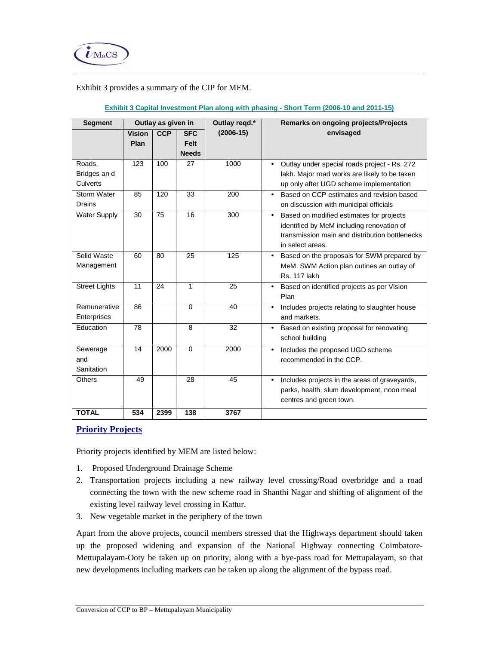

## Exhibit 3 provides a summary of the CIP for MEM.

| <b>Segment</b>       | Outlay as given in    |            | Outlay regd.*      |             | Remarks on ongoing projects/Projects                    |  |  |
|----------------------|-----------------------|------------|--------------------|-------------|---------------------------------------------------------|--|--|
|                      | <b>Vision</b><br>Plan | <b>CCP</b> | <b>SFC</b><br>Felt | $(2006-15)$ | envisaged                                               |  |  |
|                      |                       |            | <b>Needs</b>       |             |                                                         |  |  |
| Roads,               | 123                   | 100        | 27                 | 1000        | Outlay under special roads project - Rs. 272            |  |  |
| Bridges an d         |                       |            |                    |             | lakh. Major road works are likely to be taken           |  |  |
| Culverts             |                       |            |                    |             | up only after UGD scheme implementation                 |  |  |
| Storm Water          | 85                    | 120        | 33                 | 200         | Based on CCP estimates and revision based<br>$\bullet$  |  |  |
| <b>Drains</b>        |                       |            |                    |             | on discussion with municipal officials                  |  |  |
| <b>Water Supply</b>  | 30                    | 75         | 16                 | 300         | Based on modified estimates for projects<br>$\bullet$   |  |  |
|                      |                       |            |                    |             | identified by MeM including renovation of               |  |  |
|                      |                       |            |                    |             | transmission main and distribution bottlenecks          |  |  |
|                      |                       |            |                    |             | in select areas.                                        |  |  |
| Solid Waste          | 60                    | 80         | 25                 | 125         | Based on the proposals for SWM prepared by<br>$\bullet$ |  |  |
| Management           |                       |            |                    |             | MeM. SWM Action plan outines an outlay of               |  |  |
|                      |                       |            |                    |             | <b>Rs. 117 lakh</b>                                     |  |  |
| <b>Street Lights</b> | 11                    | 24         | 1                  | 25          | Based on identified projects as per Vision              |  |  |
|                      |                       |            |                    |             | Plan                                                    |  |  |
| Remunerative         | 86                    |            | $\Omega$           | 40          | Includes projects relating to slaughter house<br>٠      |  |  |
| Enterprises          |                       |            |                    |             | and markets.                                            |  |  |
| Education            | 78                    |            | 8                  | 32          | Based on existing proposal for renovating<br>٠          |  |  |
|                      |                       |            |                    |             | school building                                         |  |  |
| Sewerage             | 14                    | 2000       | $\Omega$           | 2000        | Includes the proposed UGD scheme<br>$\bullet$           |  |  |
| and                  |                       |            |                    |             | recommended in the CCP.                                 |  |  |
| Sanitation           |                       |            |                    |             |                                                         |  |  |
| <b>Others</b>        | 49                    |            | 28                 | 45          | Includes projects in the areas of graveyards,<br>٠      |  |  |
|                      |                       |            |                    |             | parks, health, slum development, noon meal              |  |  |
|                      |                       |            |                    |             | centres and green town.                                 |  |  |
| <b>TOTAL</b>         | 534                   | 2399       | 138                | 3767        |                                                         |  |  |

## **Exhibit 3 Capital Investment Plan along with phasing - Short Term (2006-10 and 2011-15)**

# **Priority Projects**

Priority projects identified by MEM are listed below:

- 1. Proposed Underground Drainage Scheme
- 2. Transportation projects including a new railway level crossing/Road overbridge and a road connecting the town with the new scheme road in Shanthi Nagar and shifting of alignment of the existing level railway level crossing in Kattur.
- 3. New vegetable market in the periphery of the town

Apart from the above projects, council members stressed that the Highways department should taken up the proposed widening and expansion of the National Highway connecting Coimbatore-Mettupalayam-Ooty be taken up on priority, along with a bye-pass road for Mettupalayam, so that new developments including markets can be taken up along the alignment of the bypass road.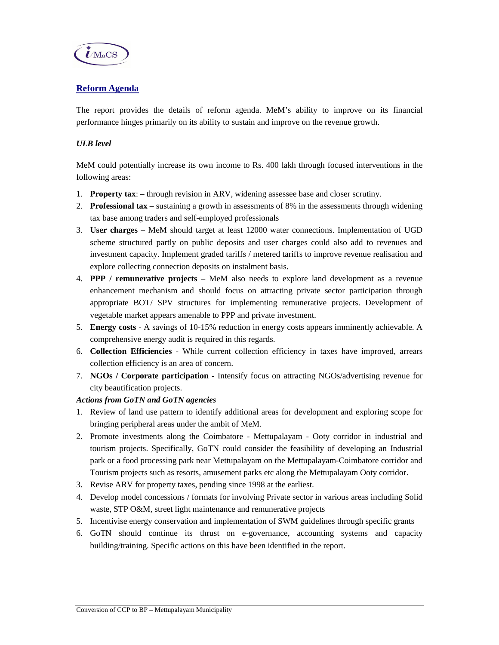

# **Reform Agenda**

The report provides the details of reform agenda. MeM's ability to improve on its financial performance hinges primarily on its ability to sustain and improve on the revenue growth.

## *ULB level*

MeM could potentially increase its own income to Rs. 400 lakh through focused interventions in the following areas:

- 1. **Property tax**: through revision in ARV, widening assessee base and closer scrutiny.
- 2. **Professional tax**  sustaining a growth in assessments of 8% in the assessments through widening tax base among traders and self-employed professionals
- 3. **User charges**  MeM should target at least 12000 water connections. Implementation of UGD scheme structured partly on public deposits and user charges could also add to revenues and investment capacity. Implement graded tariffs / metered tariffs to improve revenue realisation and explore collecting connection deposits on instalment basis.
- 4. **PPP / remunerative projects**  MeM also needs to explore land development as a revenue enhancement mechanism and should focus on attracting private sector participation through appropriate BOT/ SPV structures for implementing remunerative projects. Development of vegetable market appears amenable to PPP and private investment.
- 5. **Energy costs**  A savings of 10-15% reduction in energy costs appears imminently achievable. A comprehensive energy audit is required in this regards.
- 6. **Collection Efficiencies**  While current collection efficiency in taxes have improved, arrears collection efficiency is an area of concern.
- 7. **NGOs / Corporate participation** Intensify focus on attracting NGOs/advertising revenue for city beautification projects.

### *Actions from GoTN and GoTN agencies*

- 1. Review of land use pattern to identify additional areas for development and exploring scope for bringing peripheral areas under the ambit of MeM.
- 2. Promote investments along the Coimbatore Mettupalayam Ooty corridor in industrial and tourism projects. Specifically, GoTN could consider the feasibility of developing an Industrial park or a food processing park near Mettupalayam on the Mettupalayam-Coimbatore corridor and Tourism projects such as resorts, amusement parks etc along the Mettupalayam Ooty corridor.
- 3. Revise ARV for property taxes, pending since 1998 at the earliest.
- 4. Develop model concessions / formats for involving Private sector in various areas including Solid waste, STP O&M, street light maintenance and remunerative projects
- 5. Incentivise energy conservation and implementation of SWM guidelines through specific grants
- 6. GoTN should continue its thrust on e-governance, accounting systems and capacity building/training. Specific actions on this have been identified in the report.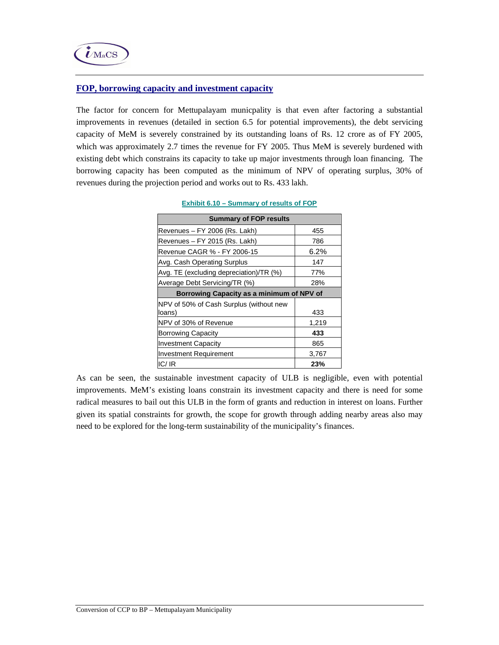## **FOP, borrowing capacity and investment capacity**

The factor for concern for Mettupalayam municpality is that even after factoring a substantial improvements in revenues (detailed in section 6.5 for potential improvements), the debt servicing capacity of MeM is severely constrained by its outstanding loans of Rs. 12 crore as of FY 2005, which was approximately 2.7 times the revenue for FY 2005. Thus MeM is severely burdened with existing debt which constrains its capacity to take up major investments through loan financing. The borrowing capacity has been computed as the minimum of NPV of operating surplus, 30% of revenues during the projection period and works out to Rs. 433 lakh.

| <b>Summary of FOP results</b>             |       |
|-------------------------------------------|-------|
| Revenues - FY 2006 (Rs. Lakh)             | 455   |
| Revenues - FY 2015 (Rs. Lakh)             | 786   |
| Revenue CAGR % - FY 2006-15               | 6.2%  |
| Avg. Cash Operating Surplus               | 147   |
| Avg. TE (excluding depreciation)/TR (%)   | 77%   |
| Average Debt Servicing/TR (%)             | 28%   |
| Borrowing Capacity as a minimum of NPV of |       |
| NPV of 50% of Cash Surplus (without new   |       |
| loans)                                    | 433   |
| NPV of 30% of Revenue                     | 1,219 |
| <b>Borrowing Capacity</b>                 | 433   |
| <b>Investment Capacity</b>                | 865   |
| <b>Investment Requirement</b>             | 3,767 |
| IC/IR                                     | 23%   |

**Exhibit 6.10 – Summary of results of FOP** 

As can be seen, the sustainable investment capacity of ULB is negligible, even with potential improvements. MeM's existing loans constrain its investment capacity and there is need for some radical measures to bail out this ULB in the form of grants and reduction in interest on loans. Further given its spatial constraints for growth, the scope for growth through adding nearby areas also may need to be explored for the long-term sustainability of the municipality's finances.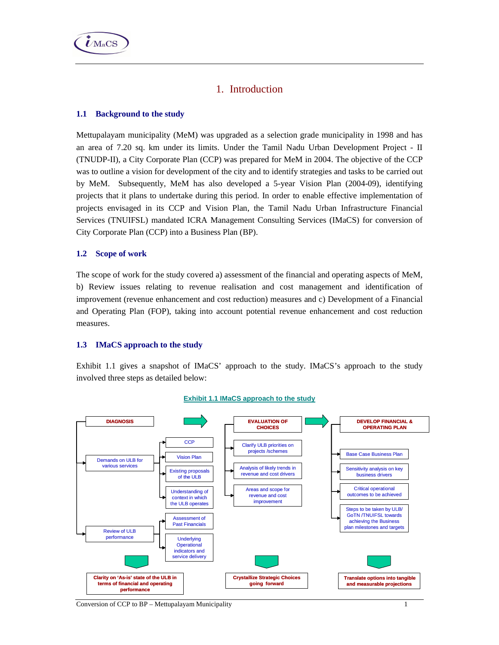# 1. Introduction

## **1.1 Background to the study**

Mettupalayam municipality (MeM) was upgraded as a selection grade municipality in 1998 and has an area of 7.20 sq. km under its limits. Under the Tamil Nadu Urban Development Project - II (TNUDP-II), a City Corporate Plan (CCP) was prepared for MeM in 2004. The objective of the CCP was to outline a vision for development of the city and to identify strategies and tasks to be carried out by MeM. Subsequently, MeM has also developed a 5-year Vision Plan (2004-09), identifying projects that it plans to undertake during this period. In order to enable effective implementation of projects envisaged in its CCP and Vision Plan, the Tamil Nadu Urban Infrastructure Financial Services (TNUIFSL) mandated ICRA Management Consulting Services (IMaCS) for conversion of City Corporate Plan (CCP) into a Business Plan (BP).

### **1.2 Scope of work**

The scope of work for the study covered a) assessment of the financial and operating aspects of MeM, b) Review issues relating to revenue realisation and cost management and identification of improvement (revenue enhancement and cost reduction) measures and c) Development of a Financial and Operating Plan (FOP), taking into account potential revenue enhancement and cost reduction measures.

### **1.3 IMaCS approach to the study**

Exhibit 1.1 gives a snapshot of IMaCS' approach to the study. IMaCS's approach to the study involved three steps as detailed below:



#### **Exhibit 1.1 IMaCS approach to the study**

Conversion of CCP to BP – Mettupalayam Municipality 1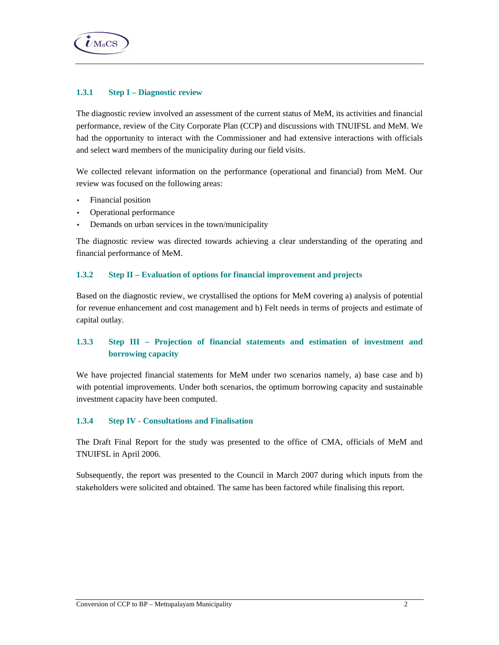

## **1.3.1 Step I – Diagnostic review**

The diagnostic review involved an assessment of the current status of MeM, its activities and financial performance, review of the City Corporate Plan (CCP) and discussions with TNUIFSL and MeM. We had the opportunity to interact with the Commissioner and had extensive interactions with officials and select ward members of the municipality during our field visits.

We collected relevant information on the performance (operational and financial) from MeM. Our review was focused on the following areas:

- Financial position
- Operational performance
- Demands on urban services in the town/municipality

The diagnostic review was directed towards achieving a clear understanding of the operating and financial performance of MeM.

## **1.3.2 Step II – Evaluation of options for financial improvement and projects**

Based on the diagnostic review, we crystallised the options for MeM covering a) analysis of potential for revenue enhancement and cost management and b) Felt needs in terms of projects and estimate of capital outlay.

# **1.3.3 Step III – Projection of financial statements and estimation of investment and borrowing capacity**

We have projected financial statements for MeM under two scenarios namely, a) base case and b) with potential improvements. Under both scenarios, the optimum borrowing capacity and sustainable investment capacity have been computed.

### **1.3.4 Step IV - Consultations and Finalisation**

The Draft Final Report for the study was presented to the office of CMA, officials of MeM and TNUIFSL in April 2006.

Subsequently, the report was presented to the Council in March 2007 during which inputs from the stakeholders were solicited and obtained. The same has been factored while finalising this report.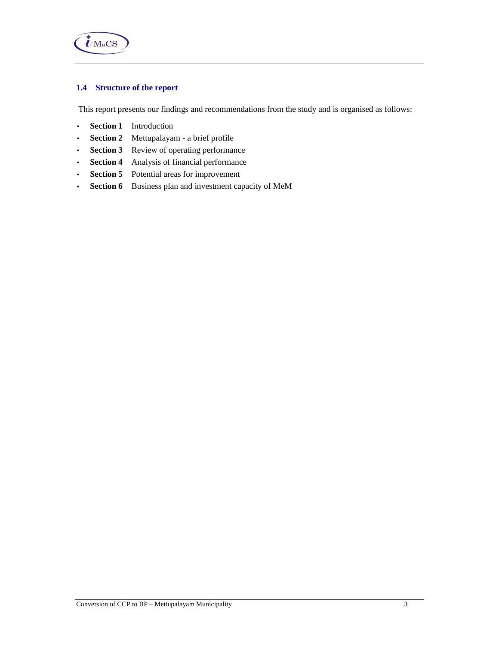

# **1.4 Structure of the report**

This report presents our findings and recommendations from the study and is organised as follows:

- **Section 1** Introduction
- **Section 2** Mettupalayam a brief profile
- **Section 3** Review of operating performance
- **Section 4** Analysis of financial performance
- **Section 5** Potential areas for improvement
- **Section 6** Business plan and investment capacity of MeM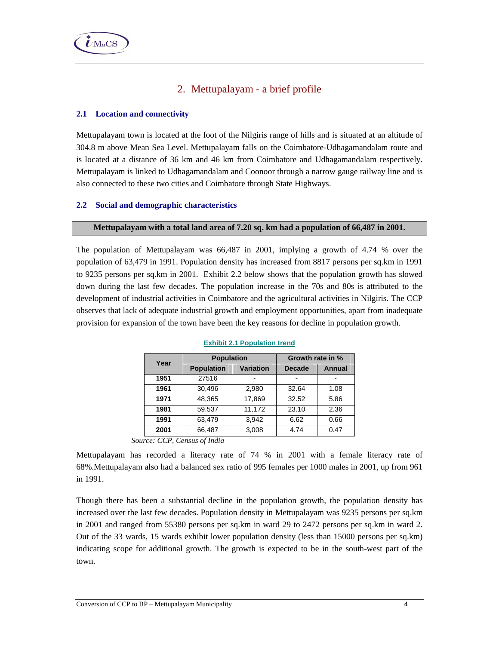# 2. Mettupalayam - a brief profile

## **2.1 Location and connectivity**

Mettupalayam town is located at the foot of the Nilgiris range of hills and is situated at an altitude of 304.8 m above Mean Sea Level. Mettupalayam falls on the Coimbatore-Udhagamandalam route and is located at a distance of 36 km and 46 km from Coimbatore and Udhagamandalam respectively. Mettupalayam is linked to Udhagamandalam and Coonoor through a narrow gauge railway line and is also connected to these two cities and Coimbatore through State Highways.

## **2.2 Social and demographic characteristics**

### **Mettupalayam with a total land area of 7.20 sq. km had a population of 66,487 in 2001.**

The population of Mettupalayam was 66,487 in 2001, implying a growth of 4.74 % over the population of 63,479 in 1991. Population density has increased from 8817 persons per sq.km in 1991 to 9235 persons per sq.km in 2001. Exhibit 2.2 below shows that the population growth has slowed down during the last few decades. The population increase in the 70s and 80s is attributed to the development of industrial activities in Coimbatore and the agricultural activities in Nilgiris. The CCP observes that lack of adequate industrial growth and employment opportunities, apart from inadequate provision for expansion of the town have been the key reasons for decline in population growth.

| Year | <b>Population</b> |                  | Growth rate in % |        |  |
|------|-------------------|------------------|------------------|--------|--|
|      | <b>Population</b> | <b>Variation</b> | <b>Decade</b>    | Annual |  |
| 1951 | 27516             |                  |                  |        |  |
| 1961 | 30,496            | 2,980            | 32.64            | 1.08   |  |
| 1971 | 48.365            | 17.869           | 32.52            | 5.86   |  |
| 1981 | 59.537            | 11,172           | 23.10            | 2.36   |  |
| 1991 | 63,479            | 3.942            | 6.62             | 0.66   |  |
| 2001 | 66,487            | 3,008            | 4.74             | 0.47   |  |

#### **Exhibit 2.1 Population trend**

*Source: CCP, Census of India* 

Mettupalayam has recorded a literacy rate of 74 % in 2001 with a female literacy rate of 68%.Mettupalayam also had a balanced sex ratio of 995 females per 1000 males in 2001, up from 961 in 1991.

Though there has been a substantial decline in the population growth, the population density has increased over the last few decades. Population density in Mettupalayam was 9235 persons per sq.km in 2001 and ranged from 55380 persons per sq.km in ward 29 to 2472 persons per sq.km in ward 2. Out of the 33 wards, 15 wards exhibit lower population density (less than 15000 persons per sq.km) indicating scope for additional growth. The growth is expected to be in the south-west part of the town.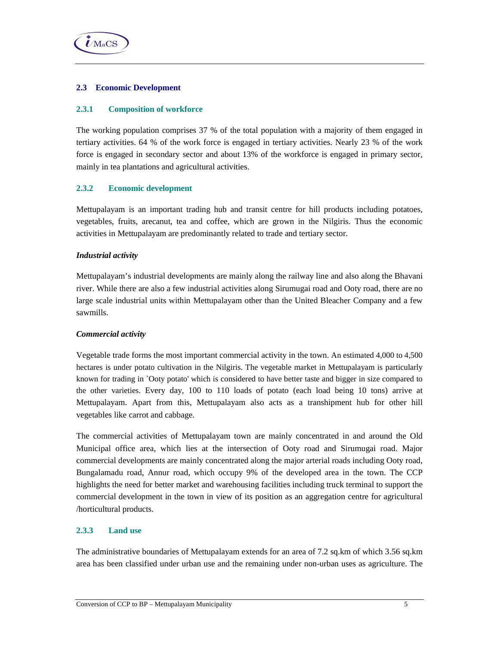

## **2.3 Economic Development**

### **2.3.1 Composition of workforce**

The working population comprises 37 % of the total population with a majority of them engaged in tertiary activities. 64 % of the work force is engaged in tertiary activities. Nearly 23 % of the work force is engaged in secondary sector and about 13% of the workforce is engaged in primary sector, mainly in tea plantations and agricultural activities.

## **2.3.2 Economic development**

Mettupalayam is an important trading hub and transit centre for hill products including potatoes, vegetables, fruits, arecanut, tea and coffee, which are grown in the Nilgiris. Thus the economic activities in Mettupalayam are predominantly related to trade and tertiary sector.

### *Industrial activity*

Mettupalayam's industrial developments are mainly along the railway line and also along the Bhavani river. While there are also a few industrial activities along Sirumugai road and Ooty road, there are no large scale industrial units within Mettupalayam other than the United Bleacher Company and a few sawmills.

### *Commercial activity*

Vegetable trade forms the most important commercial activity in the town. An estimated 4,000 to 4,500 hectares is under potato cultivation in the Nilgiris. The vegetable market in Mettupalayam is particularly known for trading in `Ooty potato' which is considered to have better taste and bigger in size compared to the other varieties. Every day, 100 to 110 loads of potato (each load being 10 tons) arrive at Mettupalayam. Apart from this, Mettupalayam also acts as a transhipment hub for other hill vegetables like carrot and cabbage.

The commercial activities of Mettupalayam town are mainly concentrated in and around the Old Municipal office area, which lies at the intersection of Ooty road and Sirumugai road. Major commercial developments are mainly concentrated along the major arterial roads including Ooty road, Bungalamadu road, Annur road, which occupy 9% of the developed area in the town. The CCP highlights the need for better market and warehousing facilities including truck terminal to support the commercial development in the town in view of its position as an aggregation centre for agricultural /horticultural products.

## **2.3.3 Land use**

The administrative boundaries of Mettupalayam extends for an area of 7.2 sq.km of which 3.56 sq.km area has been classified under urban use and the remaining under non-urban uses as agriculture. The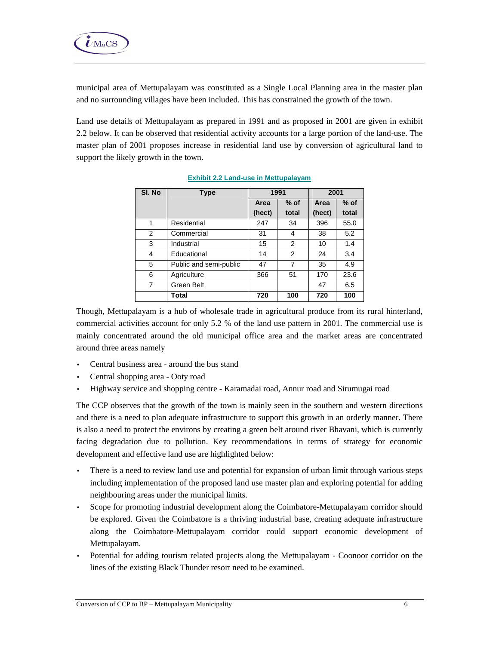

municipal area of Mettupalayam was constituted as a Single Local Planning area in the master plan and no surrounding villages have been included. This has constrained the growth of the town.

Land use details of Mettupalayam as prepared in 1991 and as proposed in 2001 are given in exhibit 2.2 below. It can be observed that residential activity accounts for a large portion of the land-use. The master plan of 2001 proposes increase in residential land use by conversion of agricultural land to support the likely growth in the town.

| SI. No | <b>Type</b>            | 1991   |        | 2001   |        |  |
|--------|------------------------|--------|--------|--------|--------|--|
|        |                        | Area   | $%$ of | Area   | $%$ of |  |
|        |                        | (hect) | total  | (hect) | total  |  |
| 1      | Residential            | 247    | 34     | 396    | 55.0   |  |
| 2      | Commercial             | 31     | 4      | 38     | 5.2    |  |
| 3      | Industrial             | 15     | 2      | 10     | 1.4    |  |
| 4      | Educational            | 14     | 2      | 24     | 3.4    |  |
| 5      | Public and semi-public | 47     | 7      | 35     | 4.9    |  |
| 6      | Agriculture            | 366    | 51     | 170    | 23.6   |  |
| 7      | Green Belt             |        |        | 47     | 6.5    |  |
|        | Total                  | 720    | 100    | 720    | 100    |  |

**Exhibit 2.2 Land-use in Mettupalayam**

Though, Mettupalayam is a hub of wholesale trade in agricultural produce from its rural hinterland, commercial activities account for only 5.2 % of the land use pattern in 2001. The commercial use is mainly concentrated around the old municipal office area and the market areas are concentrated around three areas namely

- Central business area around the bus stand
- Central shopping area Ooty road
- Highway service and shopping centre Karamadai road, Annur road and Sirumugai road

The CCP observes that the growth of the town is mainly seen in the southern and western directions and there is a need to plan adequate infrastructure to support this growth in an orderly manner. There is also a need to protect the environs by creating a green belt around river Bhavani, which is currently facing degradation due to pollution. Key recommendations in terms of strategy for economic development and effective land use are highlighted below:

- There is a need to review land use and potential for expansion of urban limit through various steps including implementation of the proposed land use master plan and exploring potential for adding neighbouring areas under the municipal limits.
- Scope for promoting industrial development along the Coimbatore-Mettupalayam corridor should be explored. Given the Coimbatore is a thriving industrial base, creating adequate infrastructure along the Coimbatore-Mettupalayam corridor could support economic development of Mettupalayam.
- Potential for adding tourism related projects along the Mettupalayam Coonoor corridor on the lines of the existing Black Thunder resort need to be examined.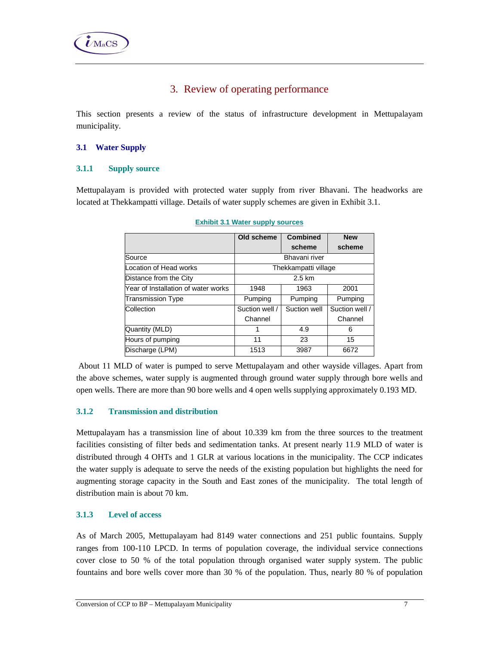# 3. Review of operating performance

This section presents a review of the status of infrastructure development in Mettupalayam municipality.

## **3.1 Water Supply**

## **3.1.1 Supply source**

Mettupalayam is provided with protected water supply from river Bhavani. The headworks are located at Thekkampatti village. Details of water supply schemes are given in Exhibit 3.1.

|                                     | Old scheme     | <b>Combined</b>      | <b>New</b>     |
|-------------------------------------|----------------|----------------------|----------------|
|                                     |                | scheme               | scheme         |
| Bhavani river<br>Source             |                |                      |                |
| Location of Head works              |                | Thekkampatti village |                |
| 2.5 km<br>Distance from the City    |                |                      |                |
| Year of Installation of water works | 1948           | 1963                 | 2001           |
| <b>Transmission Type</b>            | Pumping        | Pumping              | Pumping        |
| Collection                          | Suction well / | Suction well         | Suction well / |
|                                     | Channel        |                      | Channel        |
| Quantity (MLD)                      | 1              | 4.9                  | 6              |
| Hours of pumping                    | 11             | 23                   | 15             |
| Discharge (LPM)                     | 1513           | 3987                 | 6672           |

#### **Exhibit 3.1 Water supply sources**

 About 11 MLD of water is pumped to serve Mettupalayam and other wayside villages. Apart from the above schemes, water supply is augmented through ground water supply through bore wells and open wells. There are more than 90 bore wells and 4 open wells supplying approximately 0.193 MD.

## **3.1.2 Transmission and distribution**

Mettupalayam has a transmission line of about 10.339 km from the three sources to the treatment facilities consisting of filter beds and sedimentation tanks. At present nearly 11.9 MLD of water is distributed through 4 OHTs and 1 GLR at various locations in the municipality. The CCP indicates the water supply is adequate to serve the needs of the existing population but highlights the need for augmenting storage capacity in the South and East zones of the municipality. The total length of distribution main is about 70 km.

# **3.1.3 Level of access**

As of March 2005, Mettupalayam had 8149 water connections and 251 public fountains. Supply ranges from 100-110 LPCD. In terms of population coverage, the individual service connections cover close to 50 % of the total population through organised water supply system. The public fountains and bore wells cover more than 30 % of the population. Thus, nearly 80 % of population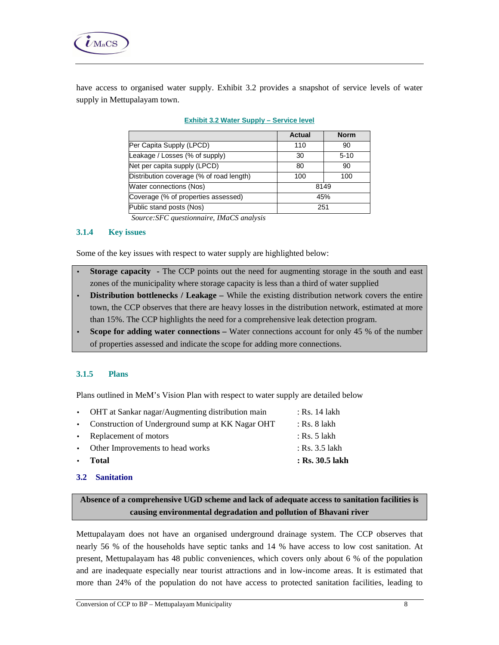

have access to organised water supply. Exhibit 3.2 provides a snapshot of service levels of water supply in Mettupalayam town.

|                                                                                   | Actual | <b>Norm</b> |
|-----------------------------------------------------------------------------------|--------|-------------|
| Per Capita Supply (LPCD)                                                          | 110    | 90          |
| Leakage / Losses (% of supply)                                                    | 30     | $5-10$      |
| Net per capita supply (LPCD)                                                      | 80     | 90          |
| Distribution coverage (% of road length)                                          | 100    | 100         |
| Water connections (Nos)<br>8149                                                   |        |             |
| Coverage (% of properties assessed)<br>45%                                        |        |             |
| Public stand posts (Nos)<br>251                                                   |        |             |
| $\mathbf{v}$ $\mathbf{v}$ $\alpha$<br>$\sim$ $\sim$<br>$\sigma$ $\sigma$ $\sigma$ |        |             |

#### **Exhibit 3.2 Water Supply – Service level**

 *Source:SFC questionnaire, IMaCS analysis* 

## **3.1.4 Key issues**

Some of the key issues with respect to water supply are highlighted below:

- **Storage capacity** The CCP points out the need for augmenting storage in the south and east zones of the municipality where storage capacity is less than a third of water supplied
- **Distribution bottlenecks / Leakage** While the existing distribution network covers the entire town, the CCP observes that there are heavy losses in the distribution network, estimated at more than 15%. The CCP highlights the need for a comprehensive leak detection program.
- **Scope for adding water connections** Water connections account for only 45 % of the number of properties assessed and indicate the scope for adding more connections.

## **3.1.5 Plans**

Plans outlined in MeM's Vision Plan with respect to water supply are detailed below

| $\bullet$ | Total                                              | : Rs. 30.5 lakh |
|-----------|----------------------------------------------------|-----------------|
|           | • Other Improvements to head works                 | : Rs. 3.5 lakh  |
|           | • Replacement of motors                            | : Rs. 5 lakh    |
|           | • Construction of Underground sump at KK Nagar OHT | : Rs. 8 lakh    |
|           | • OHT at Sankar nagar/Augmenting distribution main | : Rs. 14 lakh   |

## **3.2 Sanitation**

**Absence of a comprehensive UGD scheme and lack of adequate access to sanitation facilities is causing environmental degradation and pollution of Bhavani river** 

Mettupalayam does not have an organised underground drainage system. The CCP observes that nearly 56 % of the households have septic tanks and 14 % have access to low cost sanitation. At present, Mettupalayam has 48 public conveniences, which covers only about 6 % of the population and are inadequate especially near tourist attractions and in low-income areas. It is estimated that more than 24% of the population do not have access to protected sanitation facilities, leading to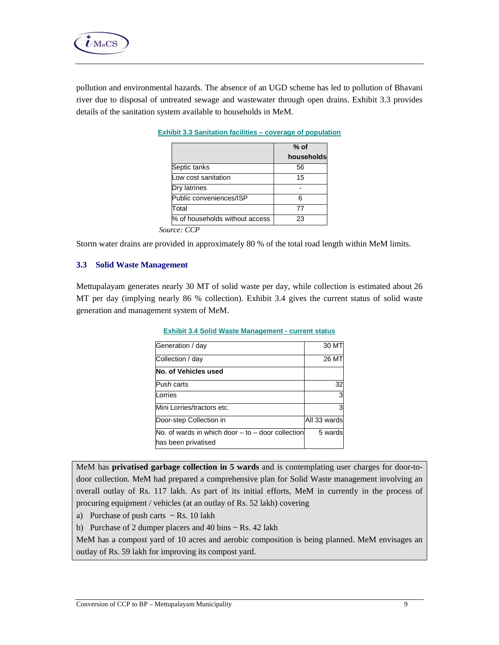

pollution and environmental hazards. The absence of an UGD scheme has led to pollution of Bhavani river due to disposal of untreated sewage and wastewater through open drains. Exhibit 3.3 provides details of the sanitation system available to households in MeM.

| $%$ of     |
|------------|
| households |
| 56         |
| 15         |
|            |
| Բ          |
| 77         |
| 23         |
|            |

#### **Exhibit 3.3 Sanitation facilities – coverage of population**

*Source: CCP* 

Storm water drains are provided in approximately 80 % of the total road length within MeM limits.

### **3.3 Solid Waste Management**

Mettupalayam generates nearly 30 MT of solid waste per day, while collection is estimated about 26 MT per day (implying nearly 86 % collection). Exhibit 3.4 gives the current status of solid waste generation and management system of MeM.

| Generation / day                                                             | 30 MT        |
|------------------------------------------------------------------------------|--------------|
| Collection / day                                                             | 26 MT        |
| No. of Vehicles used                                                         |              |
| Push carts                                                                   | 32           |
| Lorries                                                                      |              |
| Mini Lorries/tractors etc.                                                   |              |
| Door-step Collection in                                                      | All 33 wards |
| No. of wards in which door $-$ to $-$ door collection<br>has been privatised | 5 wards      |

#### **Exhibit 3.4 Solid Waste Management - current status**

MeM has **privatised garbage collection in 5 wards** and is contemplating user charges for door-todoor collection. MeM had prepared a comprehensive plan for Solid Waste management involving an overall outlay of Rs. 117 lakh. As part of its initial efforts, MeM in currently in the process of procuring equipment / vehicles (at an outlay of Rs. 52 lakh) covering

a) Purchase of push carts  $\sim$  Rs. 10 lakh

b) Purchase of 2 dumper placers and 40 bins  $\sim$  Rs. 42 lakh

MeM has a compost yard of 10 acres and aerobic composition is being planned. MeM envisages an outlay of Rs. 59 lakh for improving its compost yard.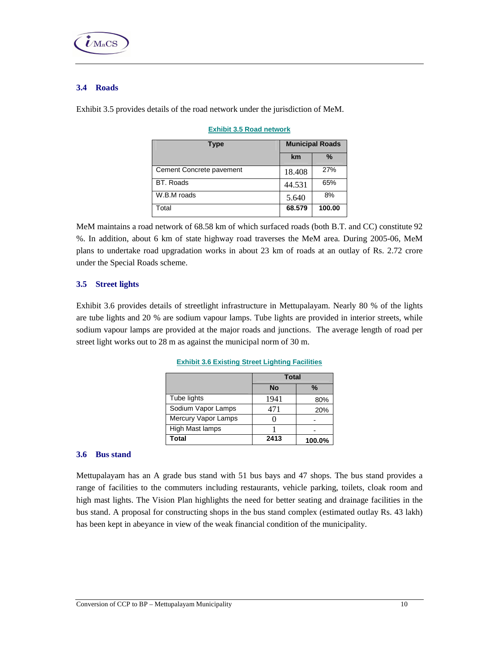

## **3.4 Roads**

Exhibit 3.5 provides details of the road network under the jurisdiction of MeM.

| Type                     | <b>Municipal Roads</b> |               |  |  |
|--------------------------|------------------------|---------------|--|--|
|                          | km                     | $\frac{0}{0}$ |  |  |
| Cement Concrete pavement | 18.408                 | 27%           |  |  |
| <b>BT.</b> Roads         | 44.531                 | 65%           |  |  |
| W.B.M roads              | 5.640                  | 8%            |  |  |
| Total                    | 68.579                 | 100.00        |  |  |

#### **Exhibit 3.5 Road network**

MeM maintains a road network of 68.58 km of which surfaced roads (both B.T. and CC) constitute 92 %. In addition, about 6 km of state highway road traverses the MeM area. During 2005-06, MeM plans to undertake road upgradation works in about 23 km of roads at an outlay of Rs. 2.72 crore under the Special Roads scheme.

## **3.5 Street lights**

Exhibit 3.6 provides details of streetlight infrastructure in Mettupalayam. Nearly 80 % of the lights are tube lights and 20 % are sodium vapour lamps. Tube lights are provided in interior streets, while sodium vapour lamps are provided at the major roads and junctions. The average length of road per street light works out to 28 m as against the municipal norm of 30 m.

|                     | Total     |        |
|---------------------|-----------|--------|
|                     | <b>No</b> | %      |
| Tube lights         | 1941      | 80%    |
| Sodium Vapor Lamps  | 471       | 20%    |
| Mercury Vapor Lamps |           |        |
| High Mast lamps     |           |        |
| <b>Total</b>        | 2413      | 100.0% |

#### **Exhibit 3.6 Existing Street Lighting Facilities**

### **3.6 Bus stand**

Mettupalayam has an A grade bus stand with 51 bus bays and 47 shops. The bus stand provides a range of facilities to the commuters including restaurants, vehicle parking, toilets, cloak room and high mast lights. The Vision Plan highlights the need for better seating and drainage facilities in the bus stand. A proposal for constructing shops in the bus stand complex (estimated outlay Rs. 43 lakh) has been kept in abeyance in view of the weak financial condition of the municipality.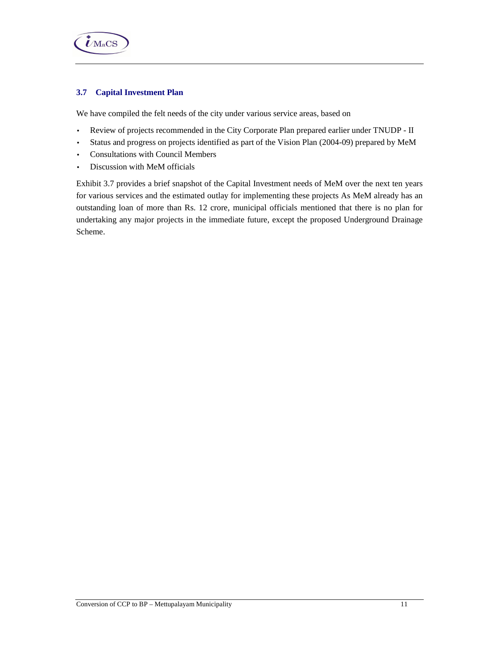

# **3.7 Capital Investment Plan**

We have compiled the felt needs of the city under various service areas, based on

- Review of projects recommended in the City Corporate Plan prepared earlier under TNUDP II
- Status and progress on projects identified as part of the Vision Plan (2004-09) prepared by MeM
- Consultations with Council Members
- Discussion with MeM officials

Exhibit 3.7 provides a brief snapshot of the Capital Investment needs of MeM over the next ten years for various services and the estimated outlay for implementing these projects As MeM already has an outstanding loan of more than Rs. 12 crore, municipal officials mentioned that there is no plan for undertaking any major projects in the immediate future, except the proposed Underground Drainage Scheme.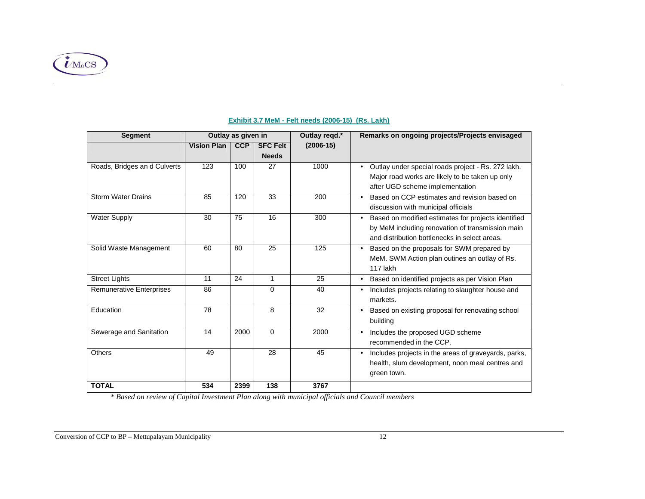

| <b>Segment</b>                  | Outlay as given in |            |                 | Outlay regd.* | Remarks on ongoing projects/Projects envisaged                                                                                                                        |
|---------------------------------|--------------------|------------|-----------------|---------------|-----------------------------------------------------------------------------------------------------------------------------------------------------------------------|
|                                 | <b>Vision Plan</b> | <b>CCP</b> | <b>SFC Felt</b> | $(2006-15)$   |                                                                                                                                                                       |
|                                 |                    |            | <b>Needs</b>    |               |                                                                                                                                                                       |
| Roads, Bridges an d Culverts    | 123                | 100        | 27              | 1000          | Outlay under special roads project - Rs. 272 lakh.<br>Major road works are likely to be taken up only<br>after UGD scheme implementation                              |
| <b>Storm Water Drains</b>       | 85                 | 120        | 33              | 200           | Based on CCP estimates and revision based on<br>$\bullet$<br>discussion with municipal officials                                                                      |
| <b>Water Supply</b>             | 30                 | 75         | 16              | 300           | Based on modified estimates for projects identified<br>$\bullet$<br>by MeM including renovation of transmission main<br>and distribution bottlenecks in select areas. |
| Solid Waste Management          | 60                 | 80         | 25              | 125           | Based on the proposals for SWM prepared by<br>$\bullet$<br>MeM. SWM Action plan outines an outlay of Rs.<br>117 lakh                                                  |
| <b>Street Lights</b>            | 11                 | 24         | $\mathbf{1}$    | 25            | Based on identified projects as per Vision Plan                                                                                                                       |
| <b>Remunerative Enterprises</b> | 86                 |            | 0               | 40            | Includes projects relating to slaughter house and<br>markets.                                                                                                         |
| Education                       | 78                 |            | 8               | 32            | Based on existing proposal for renovating school<br>$\bullet$<br>building                                                                                             |
| Sewerage and Sanitation         | 14                 | 2000       | 0               | 2000          | Includes the proposed UGD scheme<br>$\bullet$<br>recommended in the CCP.                                                                                              |
| <b>Others</b>                   | 49                 |            | 28              | 45            | Includes projects in the areas of graveyards, parks,<br>health, slum development, noon meal centres and<br>green town.                                                |
| <b>TOTAL</b>                    | 534                | 2399       | 138             | 3767          |                                                                                                                                                                       |

#### **Exhibit 3.7 MeM - Felt needs (2006-15) (Rs. Lakh)**

 *\* Based on review of Capital Investment Plan along with municipal officials and Council members*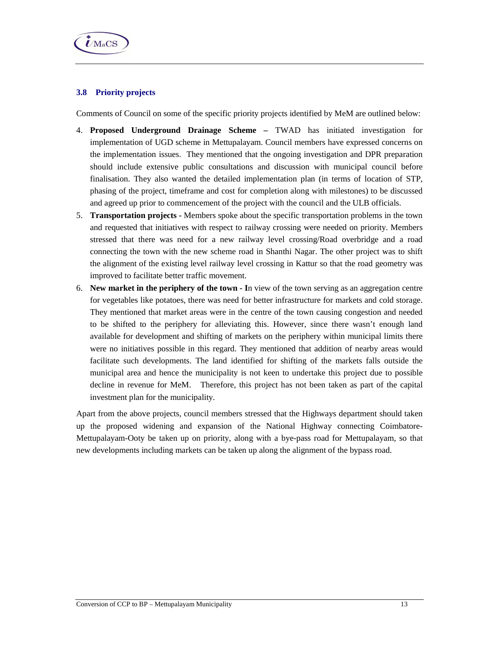

## **3.8 Priority projects**

Comments of Council on some of the specific priority projects identified by MeM are outlined below:

- 4. **Proposed Underground Drainage Scheme** TWAD has initiated investigation for implementation of UGD scheme in Mettupalayam. Council members have expressed concerns on the implementation issues. They mentioned that the ongoing investigation and DPR preparation should include extensive public consultations and discussion with municipal council before finalisation. They also wanted the detailed implementation plan (in terms of location of STP, phasing of the project, timeframe and cost for completion along with milestones) to be discussed and agreed up prior to commencement of the project with the council and the ULB officials.
- 5. **Transportation projects** Members spoke about the specific transportation problems in the town and requested that initiatives with respect to railway crossing were needed on priority. Members stressed that there was need for a new railway level crossing/Road overbridge and a road connecting the town with the new scheme road in Shanthi Nagar. The other project was to shift the alignment of the existing level railway level crossing in Kattur so that the road geometry was improved to facilitate better traffic movement.
- 6. **New market in the periphery of the town I**n view of the town serving as an aggregation centre for vegetables like potatoes, there was need for better infrastructure for markets and cold storage. They mentioned that market areas were in the centre of the town causing congestion and needed to be shifted to the periphery for alleviating this. However, since there wasn't enough land available for development and shifting of markets on the periphery within municipal limits there were no initiatives possible in this regard. They mentioned that addition of nearby areas would facilitate such developments. The land identified for shifting of the markets falls outside the municipal area and hence the municipality is not keen to undertake this project due to possible decline in revenue for MeM. Therefore, this project has not been taken as part of the capital investment plan for the municipality.

Apart from the above projects, council members stressed that the Highways department should taken up the proposed widening and expansion of the National Highway connecting Coimbatore-Mettupalayam-Ooty be taken up on priority, along with a bye-pass road for Mettupalayam, so that new developments including markets can be taken up along the alignment of the bypass road.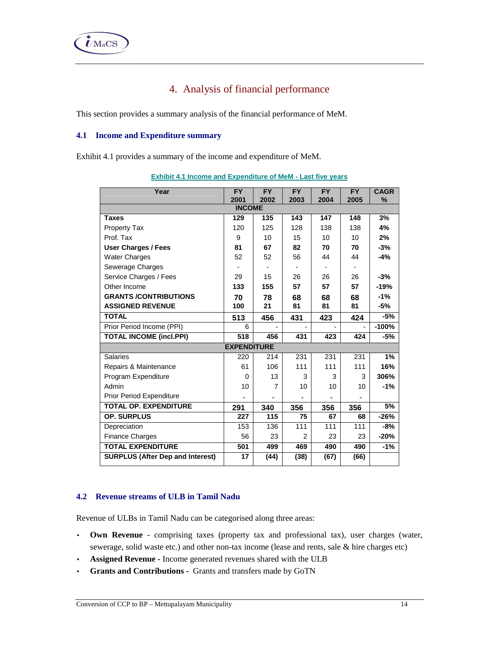# 4. Analysis of financial performance

This section provides a summary analysis of the financial performance of MeM.

## **4.1 Income and Expenditure summary**

Exhibit 4.1 provides a summary of the income and expenditure of MeM.

| Year                                    | <b>FY</b>          | <b>FY</b>      | <b>FY</b> | <b>FY</b> | <b>FY</b>      | <b>CAGR</b> |
|-----------------------------------------|--------------------|----------------|-----------|-----------|----------------|-------------|
|                                         | 2001               | 2002           | 2003      | 2004      | 2005           | $\%$        |
|                                         | <b>INCOME</b>      |                |           |           |                |             |
| <b>Taxes</b>                            | 129                | 135            | 143       | 147       | 148            | 3%          |
| <b>Property Tax</b>                     | 120                | 125            | 128       | 138       | 138            | 4%          |
| Prof. Tax                               | 9                  | 10             | 15        | 10        | 10             | 2%          |
| <b>User Charges / Fees</b>              | 81                 | 67             | 82        | 70        | 70             | $-3%$       |
| <b>Water Charges</b>                    | 52                 | 52             | 56        | 44        | 44             | $-4%$       |
| Sewerage Charges                        |                    |                |           |           | $\blacksquare$ |             |
| Service Charges / Fees                  | 29                 | 15             | 26        | 26        | 26             | $-3%$       |
| Other Income                            | 133                | 155            | 57        | 57        | 57             | $-19%$      |
| <b>GRANTS /CONTRIBUTIONS</b>            | 70                 | 78             | 68        | 68        | 68             | $-1%$       |
| <b>ASSIGNED REVENUE</b>                 | 100                | 21             | 81        | 81        | 81             | $-5%$       |
| <b>TOTAL</b>                            | 513                | 456            | 431       | 423       | 424            | $-5%$       |
| Prior Period Income (PPI)               | 6                  |                |           |           |                | $-100%$     |
| <b>TOTAL INCOME (incl.PPI)</b>          | 518                | 456            | 431       | 423       | 424            | $-5%$       |
|                                         | <b>EXPENDITURE</b> |                |           |           |                |             |
| <b>Salaries</b>                         | 220                | 214            | 231       | 231       | 231            | 1%          |
| Repairs & Maintenance                   | 61                 | 106            | 111       | 111       | 111            | 16%         |
| Program Expenditure                     | $\Omega$           | 13             | 3         | 3         | 3              | 306%        |
| Admin                                   | 10                 | $\overline{7}$ | 10        | 10        | 10             | $-1%$       |
| Prior Period Expenditure                |                    |                |           |           |                |             |
| <b>TOTAL OP. EXPENDITURE</b>            | 291                | 340            | 356       | 356       | 356            | 5%          |
| OP. SURPLUS                             | 227                | 115            | 75        | 67        | 68             | $-26%$      |
| Depreciation                            | 153                | 136            | 111       | 111       | 111            | $-8%$       |
| <b>Finance Charges</b>                  | 56                 | 23             | 2         | 23        | 23             | $-20%$      |
| <b>TOTAL EXPENDITURE</b>                | 501                | 499            | 469       | 490       | 490            | $-1%$       |
| <b>SURPLUS (After Dep and Interest)</b> | 17                 | (44)           | (38)      | (67)      | (66)           |             |

**Exhibit 4.1 Income and Expenditure of MeM - Last five years**

## **4.2 Revenue streams of ULB in Tamil Nadu**

Revenue of ULBs in Tamil Nadu can be categorised along three areas:

- **Own Revenue**  comprising taxes (property tax and professional tax), user charges (water, sewerage, solid waste etc.) and other non-tax income (lease and rents, sale & hire charges etc)
- **Assigned Revenue** Income generated revenues shared with the ULB
- **Grants and Contributions** Grants and transfers made by GoTN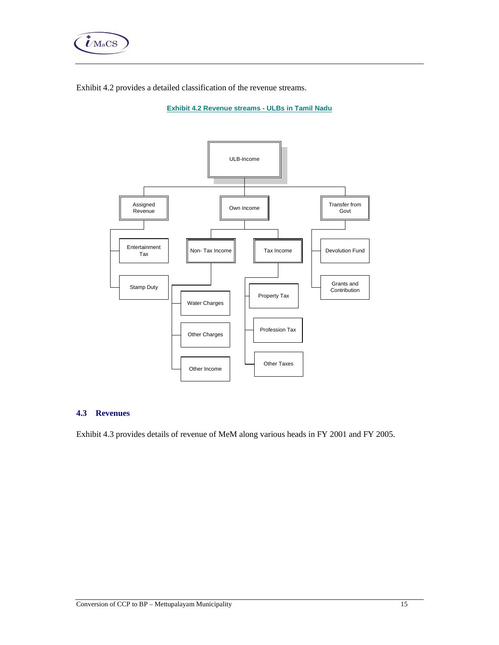

Exhibit 4.2 provides a detailed classification of the revenue streams.

**Exhibit 4.2 Revenue streams - ULBs in Tamil Nadu**



## **4.3 Revenues**

Exhibit 4.3 provides details of revenue of MeM along various heads in FY 2001 and FY 2005.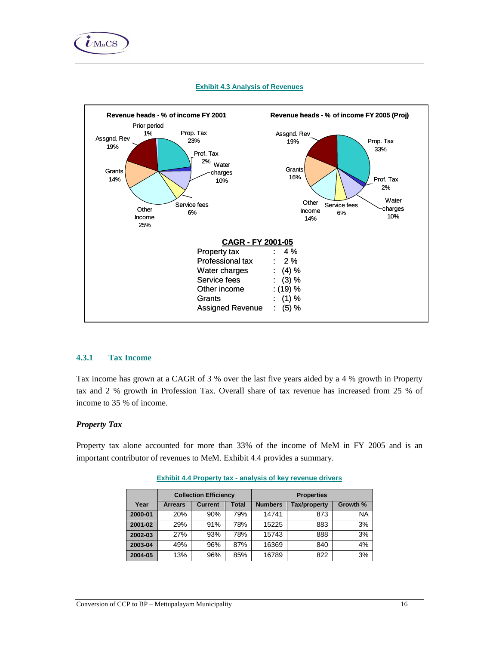



## **Exhibit 4.3 Analysis of Revenues**

### **4.3.1 Tax Income**

Tax income has grown at a CAGR of 3 % over the last five years aided by a 4 % growth in Property tax and 2 % growth in Profession Tax. Overall share of tax revenue has increased from 25 % of income to 35 % of income.

### *Property Tax*

Property tax alone accounted for more than 33% of the income of MeM in FY 2005 and is an important contributor of revenues to MeM. Exhibit 4.4 provides a summary.

|         |                | <b>Collection Efficiency</b> |       | <b>Properties</b> |              |          |  |
|---------|----------------|------------------------------|-------|-------------------|--------------|----------|--|
| Year    | <b>Arrears</b> | <b>Current</b>               | Total | <b>Numbers</b>    | Tax/property | Growth % |  |
| 2000-01 | 20%            | 90%                          | 79%   | 14741             | 873          | NA       |  |
| 2001-02 | 29%            | 91%                          | 78%   | 15225             | 883          | 3%       |  |
| 2002-03 | 27%            | 93%                          | 78%   | 15743             | 888          | 3%       |  |
| 2003-04 | 49%            | 96%                          | 87%   | 16369             | 840          | 4%       |  |
| 2004-05 | 13%            | 96%                          | 85%   | 16789             | 822          | 3%       |  |

**Exhibit 4.4 Property tax - analysis of key revenue drivers**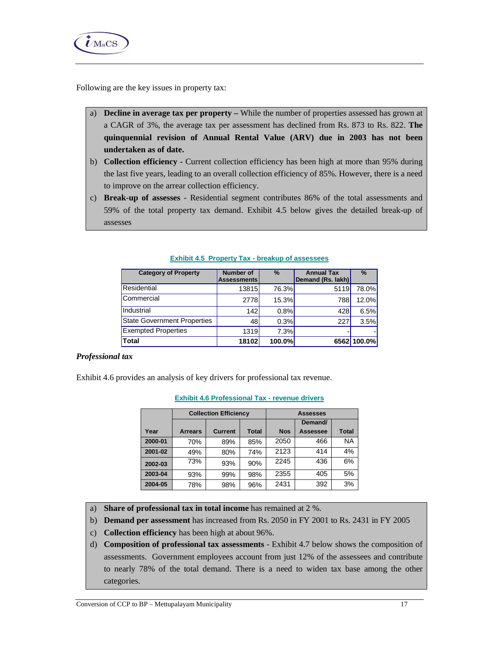

Following are the key issues in property tax:

- a) **Decline in average tax per property** While the number of properties assessed has grown at a CAGR of 3%, the average tax per assessment has declined from Rs. 873 to Rs. 822. **The quinquennial revision of Annual Rental Value (ARV) due in 2003 has not been undertaken as of date.**
- b) **Collection efficiency** Current collection efficiency has been high at more than 95% during the last five years, leading to an overall collection efficiency of 85%. However, there is a need to improve on the arrear collection efficiency.
- c) **Break-up of assesses** Residential segment contributes 86% of the total assessments and 59% of the total property tax demand. Exhibit 4.5 below gives the detailed break-up of assesses

| <b>Category of Property</b>        | <b>Number of</b><br><b>Assessments</b> | $\%$   | <b>Annual Tax</b><br>Demand (Rs. lakh) | $\frac{9}{6}$ |
|------------------------------------|----------------------------------------|--------|----------------------------------------|---------------|
| Residential                        | 13815                                  | 76.3%  | 5119                                   | 78.0%         |
| Commercial                         | 2778                                   | 15.3%  | 788                                    | 12.0%         |
| Industrial                         | 142                                    | 0.8%   | 428                                    | 6.5%          |
| <b>State Government Properties</b> | 48                                     | 0.3%   | 227                                    | 3.5%          |
| <b>Exempted Properties</b>         | 1319                                   | 7.3%   |                                        |               |
| Total                              | 18102                                  | 100.0% |                                        | 6562 100.0%   |

#### **Exhibit 4.5 Property Tax - breakup of assessees**

### *Professional tax*

Exhibit 4.6 provides an analysis of key drivers for professional tax revenue.

|         |                | <b>Collection Efficiency</b> |              | <b>Assesses</b> |                 |              |  |
|---------|----------------|------------------------------|--------------|-----------------|-----------------|--------------|--|
|         |                |                              |              |                 | Demand/         |              |  |
| Year    | <b>Arrears</b> | <b>Current</b>               | <b>Total</b> | <b>Nos</b>      | <b>Assessee</b> | <b>Total</b> |  |
| 2000-01 | 70%            | 89%                          | 85%          | 2050            | 466             | <b>NA</b>    |  |
| 2001-02 | 49%            | 80%                          | 74%          | 2123            | 414             | 4%           |  |
| 2002-03 | 73%            | 93%                          | 90%          | 2245            | 436             | 6%           |  |
| 2003-04 | 93%            | 99%                          | 98%          | 2355            | 405             | 5%           |  |
| 2004-05 | 78%            | 98%                          | 96%          | 2431            | 392             | 3%           |  |

#### **Exhibit 4.6 Professional Tax - revenue drivers**

- a) **Share of professional tax in total income** has remained at 2 %.
- b) **Demand per assessment** has increased from Rs. 2050 in FY 2001 to Rs. 2431 in FY 2005
- c) **Collection efficiency** has been high at about 96%.
- d) **Composition of professional tax assessments**  Exhibit 4.7 below shows the composition of assessments. Government employees account from just 12% of the assessees and contribute to nearly 78% of the total demand. There is a need to widen tax base among the other categories.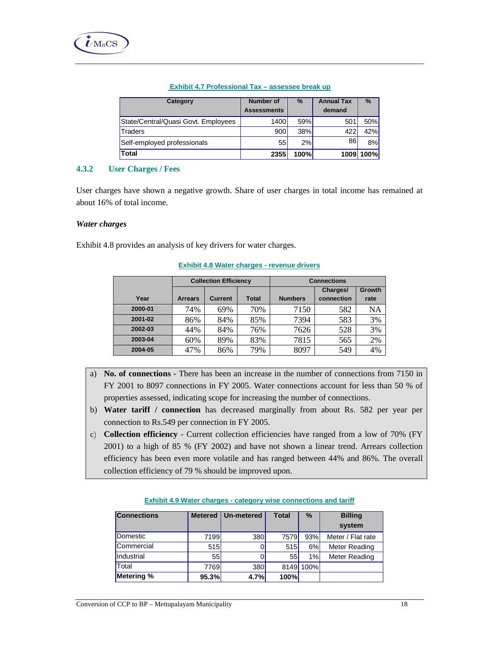#### **Exhibit 4.7 Professional Tax – assessee break up**

| Category                            | <b>Number of</b><br><b>Assessments</b> | $\frac{9}{6}$ | <b>Annual Tax</b><br>demand | $\%$      |
|-------------------------------------|----------------------------------------|---------------|-----------------------------|-----------|
| State/Central/Quasi Govt. Employees | 1400                                   | 59%           | 501                         | 50%       |
| <b>Traders</b>                      | 900                                    | 38%           | 422                         | 42%       |
| Self-employed professionals         | 55                                     | 2%            | 86                          | 8%        |
| <b>Total</b>                        | 2355                                   | 100%          |                             | 1009 100% |

### **4.3.2 User Charges / Fees**

User charges have shown a negative growth. Share of user charges in total income has remained at about 16% of total income.

### *Water charges*

Exhibit 4.8 provides an analysis of key drivers for water charges.

|         | <b>Collection Efficiency</b>                     |     |     | <b>Connections</b> |                        |                |  |
|---------|--------------------------------------------------|-----|-----|--------------------|------------------------|----------------|--|
| Year    | <b>Total</b><br><b>Current</b><br><b>Arrears</b> |     |     | <b>Numbers</b>     | Charges/<br>connection | Growth<br>rate |  |
| 2000-01 | 74%                                              | 69% | 70% | 7150               | 582                    | NA             |  |
| 2001-02 | 86%                                              | 84% | 85% | 7394               | 583                    | 3%             |  |
| 2002-03 | 44%                                              | 84% | 76% | 7626               | 528                    | 3%             |  |
| 2003-04 | 60%                                              | 89% | 83% | 7815               | 565                    | 2%             |  |
| 2004-05 | 47%                                              | 86% | 79% | 8097               | 549                    | 4%             |  |

#### **Exhibit 4.8 Water charges - revenue drivers**

- a) **No. of connections** There has been an increase in the number of connections from 7150 in FY 2001 to 8097 connections in FY 2005. Water connections account for less than 50 % of properties assessed, indicating scope for increasing the number of connections.
- b) **Water tariff / connection** has decreased marginally from about Rs. 582 per year per connection to Rs.549 per connection in FY 2005.
- c) **Collection efficiency** Current collection efficiencies have ranged from a low of 70% (FY 2001) to a high of 85 % (FY 2002) and have not shown a linear trend. Arrears collection efficiency has been even more volatile and has ranged between 44% and 86%. The overall collection efficiency of 79 % should be improved upon.

| <b>Connections</b> | <b>Metered</b> | Un-metered | Total | $\%$        | <b>Billing</b><br>system |
|--------------------|----------------|------------|-------|-------------|--------------------------|
| Domestic           | 7199           | 380        | 7579  | 93%         | Meter / Flat rate        |
| Commercial         | 515            |            | 515   | 6%          | Meter Reading            |
| Industrial         | 55             |            | 55    | 1%          | Meter Reading            |
| Total              | 7769           | 380        | 8149  | <b>100%</b> |                          |
| Metering %         | 95.3%          | 4.7%       | 100%  |             |                          |

#### **Exhibit 4.9 Water charges - category wise connections and tariff**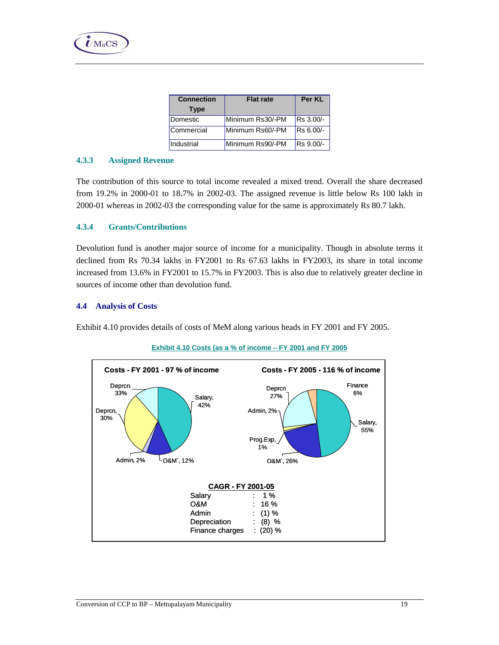| <b>Connection</b> | <b>Flat rate</b> | Per KL    |
|-------------------|------------------|-----------|
| <b>Type</b>       |                  |           |
| Domestic          | Minimum Rs30/-PM | Rs 3.00/- |
| Commercial        | Minimum Rs60/-PM | Rs 6.00/- |
| Industrial        | Minimum Rs90/-PM | Rs 9.00/- |

## **4.3.3 Assigned Revenue**

 $\dot{\boldsymbol{U}}$ MaCS

The contribution of this source to total income revealed a mixed trend. Overall the share decreased from 19.2% in 2000-01 to 18.7% in 2002-03. The assigned revenue is little below Rs 100 lakh in 2000-01 whereas in 2002-03 the corresponding value for the same is approximately Rs 80.7 lakh.

## **4.3.4 Grants/Contributions**

Devolution fund is another major source of income for a municipality. Though in absolute terms it declined from Rs 70.34 lakhs in FY2001 to Rs 67.63 lakhs in FY2003, its share in total income increased from 13.6% in FY2001 to 15.7% in FY2003. This is also due to relatively greater decline in sources of income other than devolution fund.

## **4.4 Analysis of Costs**

Exhibit 4.10 provides details of costs of MeM along various heads in FY 2001 and FY 2005.



## **Exhibit 4.10 Costs (as a % of income – FY 2001 and FY 2005**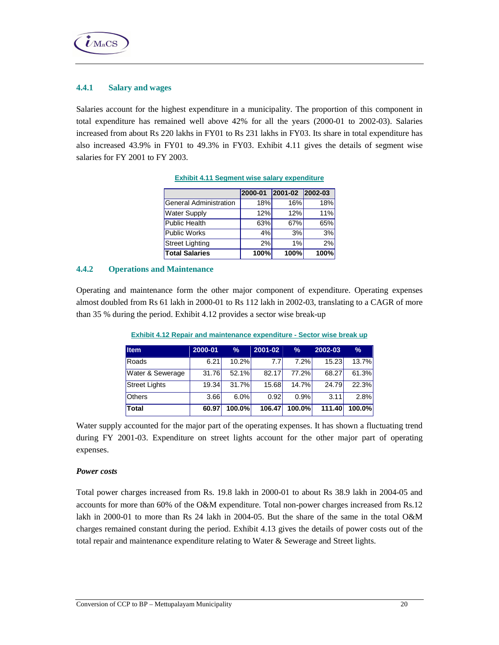

## **4.4.1 Salary and wages**

Salaries account for the highest expenditure in a municipality. The proportion of this component in total expenditure has remained well above 42% for all the years (2000-01 to 2002-03). Salaries increased from about Rs 220 lakhs in FY01 to Rs 231 lakhs in FY03. Its share in total expenditure has also increased 43.9% in FY01 to 49.3% in FY03. Exhibit 4.11 gives the details of segment wise salaries for FY 2001 to FY 2003.

|                        | 2000-01 | 2001-02 2002-03 |      |
|------------------------|---------|-----------------|------|
| General Administration | 18%     | 16%             | 18%  |
| <b>Water Supply</b>    | 12%     | 12%             | 11%  |
| Public Health          | 63%     | 67%             | 65%  |
| Public Works           | 4%      | 3%              | 3%   |
| Street Lighting        | 2%      | 1%              | 2%   |
| <b>Total Salaries</b>  | 100%    | 100%            | 100% |

|  |  |  |  | <b>Exhibit 4.11 Seament wise salary expenditure</b> |
|--|--|--|--|-----------------------------------------------------|
|--|--|--|--|-----------------------------------------------------|

## **4.4.2 Operations and Maintenance**

Operating and maintenance form the other major component of expenditure. Operating expenses almost doubled from Rs 61 lakh in 2000-01 to Rs 112 lakh in 2002-03, translating to a CAGR of more than 35 % during the period. Exhibit 4.12 provides a sector wise break-up

| <b>Item</b>          | 2000-01 | $\frac{9}{6}$ | 2001-02          | %      | 2002-03 | $\frac{9}{6}$ |
|----------------------|---------|---------------|------------------|--------|---------|---------------|
| Roads                | 6.21    | 10.2%         | 7.7 <sub>l</sub> | 7.2%   | 15.23   | 13.7%         |
| Water & Sewerage     | 31.76   | 52.1%         | 82.17            | 77.2%  | 68.27   | 61.3%         |
| <b>Street Lights</b> | 19.34   | 31.7%         | 15.68            | 14.7%  | 24.79   | 22.3%         |
| <b>Others</b>        | 3.66    | 6.0%          | 0.92             | 0.9%   | 3.11    | 2.8%          |
| <b>Total</b>         | 60.97   | $100.0\%$     | 106.47           | 100.0% | 111.40  | 100.0%        |

**Exhibit 4.12 Repair and maintenance expenditure - Sector wise break up**

Water supply accounted for the major part of the operating expenses. It has shown a fluctuating trend during FY 2001-03. Expenditure on street lights account for the other major part of operating expenses.

### *Power costs*

Total power charges increased from Rs. 19.8 lakh in 2000-01 to about Rs 38.9 lakh in 2004-05 and accounts for more than 60% of the O&M expenditure. Total non-power charges increased from Rs.12 lakh in 2000-01 to more than Rs 24 lakh in 2004-05. But the share of the same in the total O&M charges remained constant during the period. Exhibit 4.13 gives the details of power costs out of the total repair and maintenance expenditure relating to Water & Sewerage and Street lights.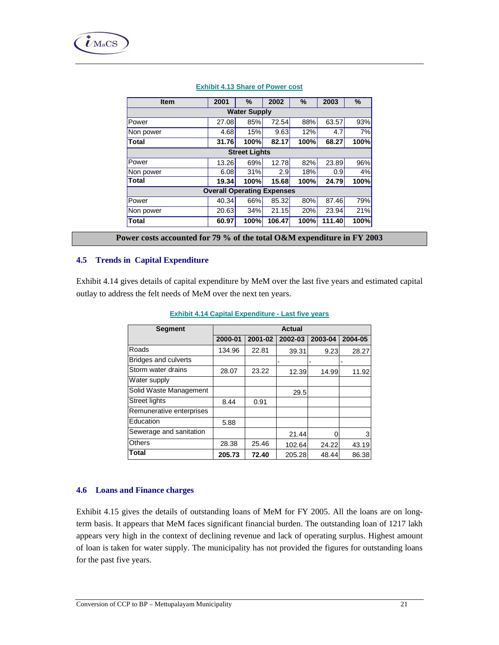| <b>Item</b>                       | 2001  | %                   | 2002   | %    | 2003   | %    |
|-----------------------------------|-------|---------------------|--------|------|--------|------|
|                                   |       | <b>Water Supply</b> |        |      |        |      |
| Power                             | 27.08 | 85%                 | 72.54  | 88%  | 63.57  | 93%  |
| Non power                         | 4.68  | 15%                 | 9.63   | 12%  | 4.7    | 7%   |
| Total                             | 31.76 | 100%                | 82.17  | 100% | 68.27  | 100% |
| <b>Street Lights</b>              |       |                     |        |      |        |      |
| Power                             | 13.26 | 69%                 | 12.78  | 82%  | 23.89  | 96%  |
| Non power                         | 6.08  | 31%                 | 2.9    | 18%  | 0.9    | 4%   |
| Total                             | 19.34 | 100%                | 15.68  | 100% | 24.79  | 100% |
| <b>Overall Operating Expenses</b> |       |                     |        |      |        |      |
| Power                             | 40.34 | 66%                 | 85.32  | 80%  | 87.46  | 79%  |
| Non power                         | 20.63 | 34%                 | 21.15  | 20%  | 23.94  | 21%  |
| <b>Total</b>                      | 60.97 | 100%                | 106.47 | 100% | 111.40 | 100% |
|                                   |       |                     |        |      |        |      |

## **Exhibit 4.13 Share of Power cost**

**Power costs accounted for 79 % of the total O&M expenditure in FY 2003**

### **4.5 Trends in Capital Expenditure**

Exhibit 4.14 gives details of capital expenditure by MeM over the last five years and estimated capital outlay to address the felt needs of MeM over the next ten years.

| <b>Segment</b>              |         |         | Actual  |         |         |
|-----------------------------|---------|---------|---------|---------|---------|
|                             | 2000-01 | 2001-02 | 2002-03 | 2003-04 | 2004-05 |
| Roads                       | 134.96  | 22.81   | 39.31   | 9.23    | 28.27   |
| <b>Bridges and culverts</b> |         |         |         |         |         |
| Storm water drains          | 28.07   | 23.22   | 12.39   | 14.99   | 11.92   |
| Water supply                |         |         |         |         |         |
| Solid Waste Management      |         |         | 29.5    |         |         |
| <b>Street lights</b>        | 8.44    | 0.91    |         |         |         |
| Remunerative enterprises    |         |         |         |         |         |
| Education                   | 5.88    |         |         |         |         |
| Sewerage and sanitation     |         |         | 21.44   |         | 3       |
| <b>Others</b>               | 28.38   | 25.46   | 102.64  | 24.22   | 43.19   |
| <b>Total</b>                | 205.73  | 72.40   | 205.28  | 48.44   | 86.38   |

#### **Exhibit 4.14 Capital Expenditure - Last five years**

#### **4.6 Loans and Finance charges**

Exhibit 4.15 gives the details of outstanding loans of MeM for FY 2005. All the loans are on longterm basis. It appears that MeM faces significant financial burden. The outstanding loan of 1217 lakh appears very high in the context of declining revenue and lack of operating surplus. Highest amount of loan is taken for water supply. The municipality has not provided the figures for outstanding loans for the past five years.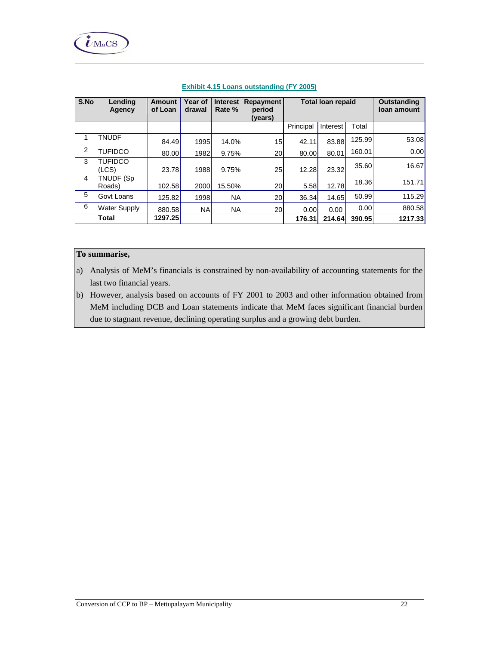| S.No | Lending             | <b>Amount</b> | Year of   | <b>Interest</b> | Repayment       | <b>Total loan repaid</b> |          | <b>Outstanding</b> |             |
|------|---------------------|---------------|-----------|-----------------|-----------------|--------------------------|----------|--------------------|-------------|
|      | Agency              | of Loan       | drawal    | Rate %          | period          |                          |          |                    | loan amount |
|      |                     |               |           |                 | (years)         |                          |          |                    |             |
|      |                     |               |           |                 |                 | Principal                | Interest | Total              |             |
| 1    | <b>TNUDF</b>        | 84.49         | 1995      | 14.0%           | 15              | 42.11                    | 83.88    | 125.99             | 53.08       |
| 2    | <b>TUFIDCO</b>      | 80.00         | 1982      | 9.75%           | 20 <sub>l</sub> | 80.00                    | 80.01    | 160.01             | 0.00        |
| 3    | <b>TUFIDCO</b>      |               |           |                 |                 |                          |          | 35.60              | 16.67       |
|      | (LCS)               | 23.78         | 1988      | 9.75%           | 25              | 12.28                    | 23.32    |                    |             |
| 4    | TNUDF (Sp           |               |           |                 |                 |                          |          | 18.36              | 151.71      |
|      | Roads)              | 102.58        | 2000      | 15.50%          | 20 <sub>l</sub> | 5.58                     | 12.78    |                    |             |
| 5    | Govt Loans          | 125.82        | 1998      | <b>NA</b>       | 20 <sup>1</sup> | 36.34                    | 14.65    | 50.99              | 115.29      |
| 6    | <b>Water Supply</b> | 880.58        | <b>NA</b> | <b>NA</b>       | <b>20</b>       | 0.00                     | 0.00     | 0.00               | 880.58      |
|      | <b>Total</b>        | 1297.25       |           |                 |                 | 176.31                   | 214.64   | 390.95             | 1217.33     |

## **Exhibit 4.15 Loans outstanding (FY 2005)**

# **To summarise,**

- a) Analysis of MeM's financials is constrained by non-availability of accounting statements for the last two financial years.
- b) However, analysis based on accounts of FY 2001 to 2003 and other information obtained from MeM including DCB and Loan statements indicate that MeM faces significant financial burden due to stagnant revenue, declining operating surplus and a growing debt burden.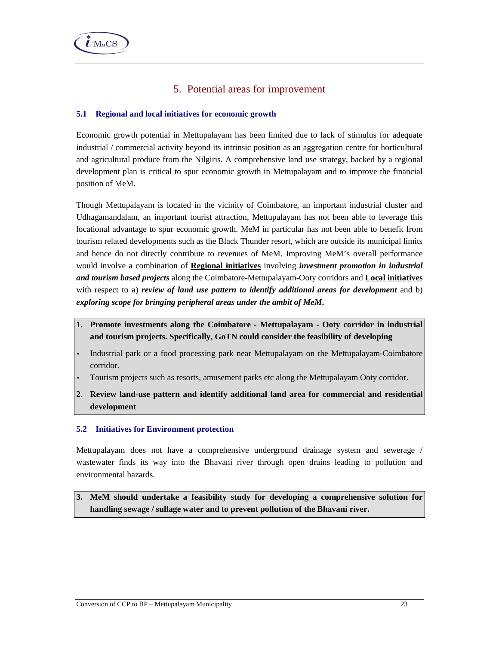# 5. Potential areas for improvement

## **5.1 Regional and local initiatives for economic growth**

Economic growth potential in Mettupalayam has been limited due to lack of stimulus for adequate industrial / commercial activity beyond its intrinsic position as an aggregation centre for horticultural and agricultural produce from the Nilgiris. A comprehensive land use strategy, backed by a regional development plan is critical to spur economic growth in Mettupalayam and to improve the financial position of MeM.

Though Mettupalayam is located in the vicinity of Coimbatore, an important industrial cluster and Udhagamandalam, an important tourist attraction, Mettupalayam has not been able to leverage this locational advantage to spur economic growth. MeM in particular has not been able to benefit from tourism related developments such as the Black Thunder resort, which are outside its municipal limits and hence do not directly contribute to revenues of MeM. Improving MeM's overall performance would involve a combination of **Regional initiatives** involving *investment promotion in industrial and tourism based projects* along the Coimbatore-Mettupalayam-Ooty corridors and **Local initiatives** with respect to a) *review of land use pattern to identify additional areas for development* and b) *exploring scope for bringing peripheral areas under the ambit of MeM***.** 

- **1. Promote investments along the Coimbatore Mettupalayam Ooty corridor in industrial and tourism projects. Specifically, GoTN could consider the feasibility of developing**
- Industrial park or a food processing park near Mettupalayam on the Mettupalayam-Coimbatore corridor.
- Tourism projects such as resorts, amusement parks etc along the Mettupalayam Ooty corridor.
- **2. Review land-use pattern and identify additional land area for commercial and residential development**

## **5.2 Initiatives for Environment protection**

Mettupalayam does not have a comprehensive underground drainage system and sewerage / wastewater finds its way into the Bhavani river through open drains leading to pollution and environmental hazards.

**3. MeM should undertake a feasibility study for developing a comprehensive solution for handling sewage / sullage water and to prevent pollution of the Bhavani river.**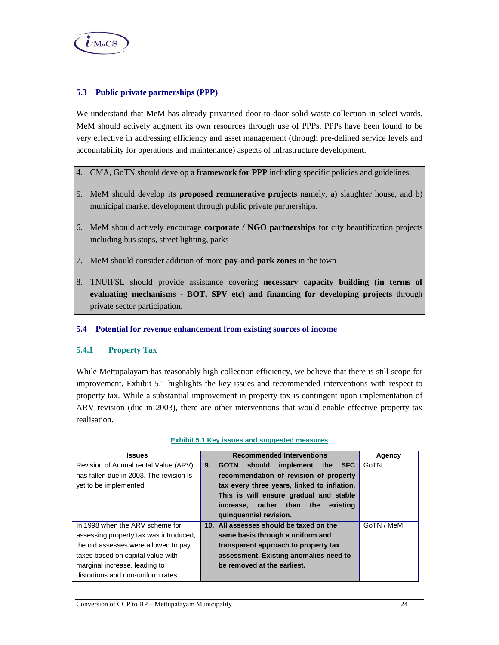

## **5.3 Public private partnerships (PPP)**

We understand that MeM has already privatised door-to-door solid waste collection in select wards. MeM should actively augment its own resources through use of PPPs. PPPs have been found to be very effective in addressing efficiency and asset management (through pre-defined service levels and accountability for operations and maintenance) aspects of infrastructure development.

- 4. CMA, GoTN should develop a **framework for PPP** including specific policies and guidelines.
- 5. MeM should develop its **proposed remunerative projects** namely, a) slaughter house, and b) municipal market development through public private partnerships.
- 6. MeM should actively encourage **corporate / NGO partnerships** for city beautification projects including bus stops, street lighting, parks
- 7. MeM should consider addition of more **pay-and-park zones** in the town
- 8. TNUIFSL should provide assistance covering **necessary capacity building (in terms of evaluating mechanisms - BOT, SPV etc) and financing for developing projects** through private sector participation.

#### **5.4 Potential for revenue enhancement from existing sources of income**

#### **5.4.1 Property Tax**

While Mettupalayam has reasonably high collection efficiency, we believe that there is still scope for improvement. Exhibit 5.1 highlights the key issues and recommended interventions with respect to property tax. While a substantial improvement in property tax is contingent upon implementation of ARV revision (due in 2003), there are other interventions that would enable effective property tax realisation.

| <b>Issues</b>                           | <b>Recommended Interventions</b>                 | Agency     |
|-----------------------------------------|--------------------------------------------------|------------|
| Revision of Annual rental Value (ARV)   | implement the SFC<br>9.<br>should<br><b>GOTN</b> | GoTN       |
| has fallen due in 2003. The revision is | recommendation of revision of property           |            |
| yet to be implemented.                  | tax every three years, linked to inflation.      |            |
|                                         | This is will ensure gradual and stable           |            |
|                                         | rather than the<br>existing<br>increase.         |            |
|                                         | quinquennial revision.                           |            |
| In 1998 when the ARV scheme for         | 10. All assesses should be taxed on the          | GoTN / MeM |
| assessing property tax was introduced,  | same basis through a uniform and                 |            |
| the old assesses were allowed to pay    | transparent approach to property tax             |            |
| taxes based on capital value with       | assessment. Existing anomalies need to           |            |
| marginal increase, leading to           | be removed at the earliest.                      |            |
| distortions and non-uniform rates.      |                                                  |            |

#### **Exhibit 5.1 Key issues and suggested measures**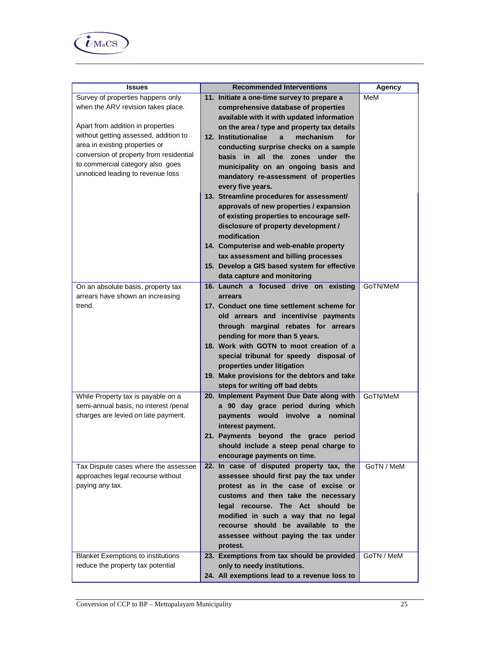

| <b>Issues</b>                             | <b>Recommended Interventions</b>              | Agency     |
|-------------------------------------------|-----------------------------------------------|------------|
| Survey of properties happens only         | 11. Initiate a one-time survey to prepare a   | MeM        |
| when the ARV revision takes place.        | comprehensive database of properties          |            |
|                                           | available with it with updated information    |            |
| Apart from addition in properties         | on the area / type and property tax details   |            |
| without getting assessed, addition to     | 12. Institutionalise<br>mechanism<br>for<br>a |            |
| area in existing properties or            | conducting surprise checks on a sample        |            |
| conversion of property from residential   | basis in all the zones under the              |            |
| to commercial category also goes          |                                               |            |
| unnoticed leading to revenue loss         | municipality on an ongoing basis and          |            |
|                                           | mandatory re-assessment of properties         |            |
|                                           | every five years.                             |            |
|                                           | 13. Streamline procedures for assessment/     |            |
|                                           | approvals of new properties / expansion       |            |
|                                           | of existing properties to encourage self-     |            |
|                                           | disclosure of property development /          |            |
|                                           | modification                                  |            |
|                                           | 14. Computerise and web-enable property       |            |
|                                           | tax assessment and billing processes          |            |
|                                           | 15. Develop a GIS based system for effective  |            |
|                                           | data capture and monitoring                   |            |
| On an absolute basis, property tax        | 16. Launch a focused drive on existing        | GoTN/MeM   |
| arrears have shown an increasing          | arrears                                       |            |
| trend.                                    | 17. Conduct one time settlement scheme for    |            |
|                                           | old arrears and incentivise payments          |            |
|                                           | through marginal rebates for arrears          |            |
|                                           | pending for more than 5 years.                |            |
|                                           | 18. Work with GOTN to moot creation of a      |            |
|                                           | special tribunal for speedy disposal of       |            |
|                                           | properties under litigation                   |            |
|                                           | 19. Make provisions for the debtors and take  |            |
|                                           | steps for writing off bad debts               |            |
| While Property tax is payable on a        | 20. Implement Payment Due Date along with     | GoTN/MeM   |
| semi-annual basis, no interest /penal     | a 90 day grace period during which            |            |
| charges are levied on late payment.       | payments would involve a nominal              |            |
|                                           | interest payment.                             |            |
|                                           | 21. Payments beyond the grace period          |            |
|                                           | should include a steep penal charge to        |            |
|                                           | encourage payments on time.                   |            |
| Tax Dispute cases where the assessee      | 22. In case of disputed property tax, the     | GoTN / MeM |
| approaches legal recourse without         | assessee should first pay the tax under       |            |
| paying any tax.                           | protest as in the case of excise or           |            |
|                                           | customs and then take the necessary           |            |
|                                           | legal recourse. The Act should be             |            |
|                                           | modified in such a way that no legal          |            |
|                                           | recourse should be available to the           |            |
|                                           | assessee without paying the tax under         |            |
|                                           | protest.                                      |            |
| <b>Blanket Exemptions to institutions</b> | 23. Exemptions from tax should be provided    | GoTN / MeM |
| reduce the property tax potential         | only to needy institutions.                   |            |
|                                           | 24. All exemptions lead to a revenue loss to  |            |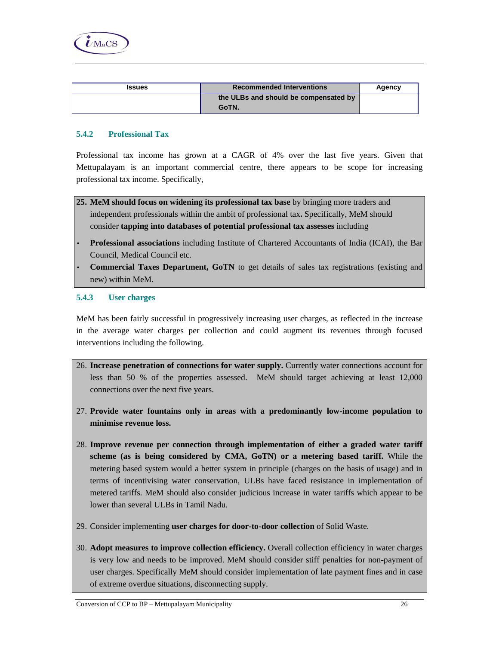

| <b>Issues</b> | <b>Recommended Interventions</b>      | Agency |
|---------------|---------------------------------------|--------|
|               | the ULBs and should be compensated by |        |
|               | GoTN.                                 |        |

## **5.4.2 Professional Tax**

Professional tax income has grown at a CAGR of 4% over the last five years. Given that Mettupalayam is an important commercial centre, there appears to be scope for increasing professional tax income. Specifically,

- **25. MeM should focus on widening its professional tax base** by bringing more traders and independent professionals within the ambit of professional tax**.** Specifically, MeM should consider **tapping into databases of potential professional tax assesses** including
- **Professional associations** including Institute of Chartered Accountants of India (ICAI), the Bar Council, Medical Council etc.
- **Commercial Taxes Department, GoTN** to get details of sales tax registrations (existing and new) within MeM.

### **5.4.3 User charges**

MeM has been fairly successful in progressively increasing user charges, as reflected in the increase in the average water charges per collection and could augment its revenues through focused interventions including the following.

- 26. **Increase penetration of connections for water supply.** Currently water connections account for less than 50 % of the properties assessed. MeM should target achieving at least 12,000 connections over the next five years.
- 27. **Provide water fountains only in areas with a predominantly low-income population to minimise revenue loss.**
- 28. **Improve revenue per connection through implementation of either a graded water tariff scheme (as is being considered by CMA, GoTN) or a metering based tariff.** While the metering based system would a better system in principle (charges on the basis of usage) and in terms of incentivising water conservation, ULBs have faced resistance in implementation of metered tariffs. MeM should also consider judicious increase in water tariffs which appear to be lower than several ULBs in Tamil Nadu.
- 29. Consider implementing **user charges for door-to-door collection** of Solid Waste.
- 30. **Adopt measures to improve collection efficiency.** Overall collection efficiency in water charges is very low and needs to be improved. MeM should consider stiff penalties for non-payment of user charges. Specifically MeM should consider implementation of late payment fines and in case of extreme overdue situations, disconnecting supply.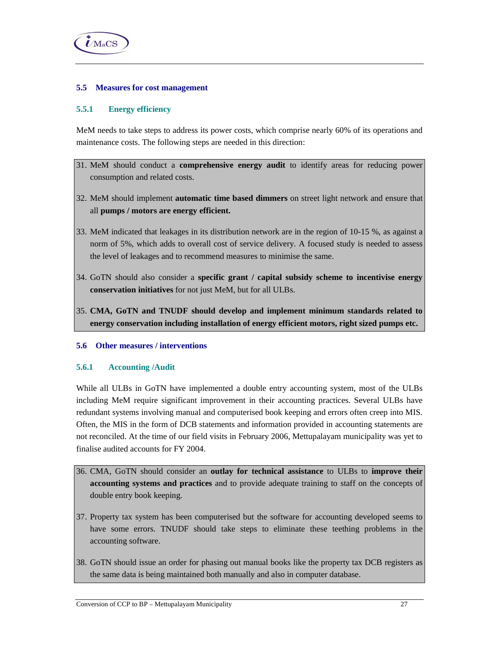

## **5.5 Measures for cost management**

## **5.5.1 Energy efficiency**

MeM needs to take steps to address its power costs, which comprise nearly 60% of its operations and maintenance costs. The following steps are needed in this direction:

- 31. MeM should conduct a **comprehensive energy audit** to identify areas for reducing power consumption and related costs.
- 32. MeM should implement **automatic time based dimmers** on street light network and ensure that all **pumps / motors are energy efficient.**
- 33. MeM indicated that leakages in its distribution network are in the region of 10-15 %, as against a norm of 5%, which adds to overall cost of service delivery. A focused study is needed to assess the level of leakages and to recommend measures to minimise the same.
- 34. GoTN should also consider a **specific grant / capital subsidy scheme to incentivise energy conservation initiatives** for not just MeM, but for all ULBs.
- 35. **CMA, GoTN and TNUDF should develop and implement minimum standards related to energy conservation including installation of energy efficient motors, right sized pumps etc.**

### **5.6 Other measures / interventions**

### **5.6.1 Accounting /Audit**

While all ULBs in GoTN have implemented a double entry accounting system, most of the ULBs including MeM require significant improvement in their accounting practices. Several ULBs have redundant systems involving manual and computerised book keeping and errors often creep into MIS. Often, the MIS in the form of DCB statements and information provided in accounting statements are not reconciled. At the time of our field visits in February 2006, Mettupalayam municipality was yet to finalise audited accounts for FY 2004.

- 36. CMA, GoTN should consider an **outlay for technical assistance** to ULBs to **improve their accounting systems and practices** and to provide adequate training to staff on the concepts of double entry book keeping.
- 37. Property tax system has been computerised but the software for accounting developed seems to have some errors. TNUDF should take steps to eliminate these teething problems in the accounting software.
- 38. GoTN should issue an order for phasing out manual books like the property tax DCB registers as the same data is being maintained both manually and also in computer database.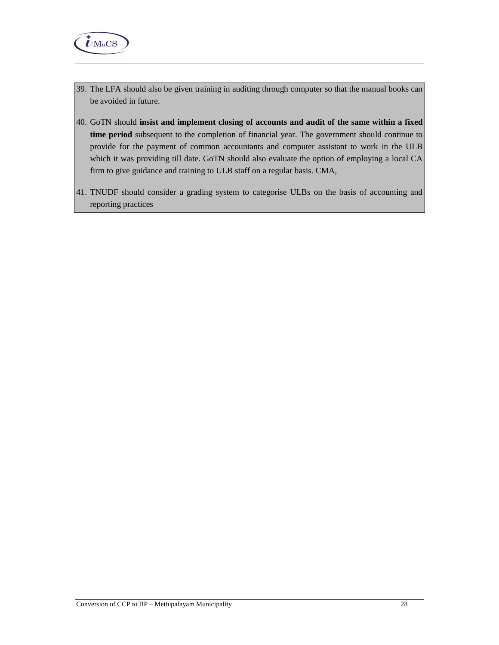

- 39. The LFA should also be given training in auditing through computer so that the manual books can be avoided in future.
- 40. GoTN should **insist and implement closing of accounts and audit of the same within a fixed time period** subsequent to the completion of financial year. The government should continue to provide for the payment of common accountants and computer assistant to work in the ULB which it was providing till date. GoTN should also evaluate the option of employing a local CA firm to give guidance and training to ULB staff on a regular basis. CMA,
- 41. TNUDF should consider a grading system to categorise ULBs on the basis of accounting and reporting practices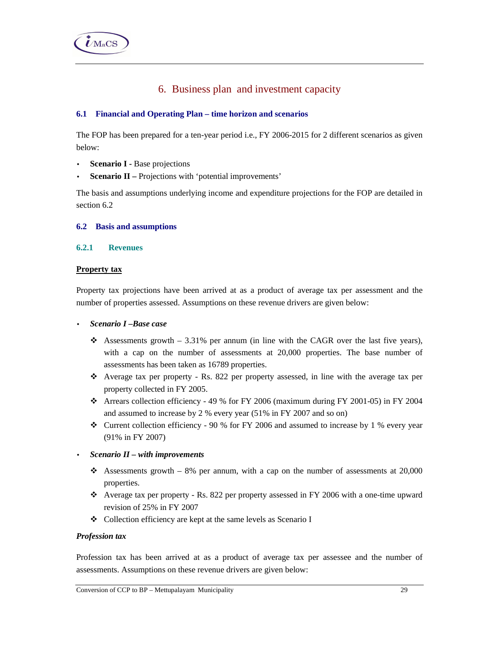# 6. Business plan and investment capacity

## **6.1 Financial and Operating Plan – time horizon and scenarios**

The FOP has been prepared for a ten-year period i.e., FY 2006-2015 for 2 different scenarios as given below:

- **Scenario I -** Base projections
- **Scenario II** Projections with 'potential improvements'

The basis and assumptions underlying income and expenditure projections for the FOP are detailed in section 6.2

### **6.2 Basis and assumptions**

## **6.2.1 Revenues**

## **Property tax**

Property tax projections have been arrived at as a product of average tax per assessment and the number of properties assessed. Assumptions on these revenue drivers are given below:

- *Scenario I –Base case*
	- Assessments growth  $-3.31\%$  per annum (in line with the CAGR over the last five years), with a cap on the number of assessments at 20,000 properties. The base number of assessments has been taken as 16789 properties.
	- Average tax per property Rs. 822 per property assessed, in line with the average tax per property collected in FY 2005.
	- $\div$  Arrears collection efficiency 49 % for FY 2006 (maximum during FY 2001-05) in FY 2004 and assumed to increase by 2 % every year (51% in FY 2007 and so on)
	- $\div$  Current collection efficiency 90 % for FY 2006 and assumed to increase by 1 % every year (91% in FY 2007)
- *Scenario II with improvements* 
	- Assessments growth  $-8\%$  per annum, with a cap on the number of assessments at 20,000 properties.
	- Average tax per property Rs. 822 per property assessed in FY 2006 with a one-time upward revision of 25% in FY 2007
	- Collection efficiency are kept at the same levels as Scenario I

### *Profession tax*

Profession tax has been arrived at as a product of average tax per assessee and the number of assessments. Assumptions on these revenue drivers are given below: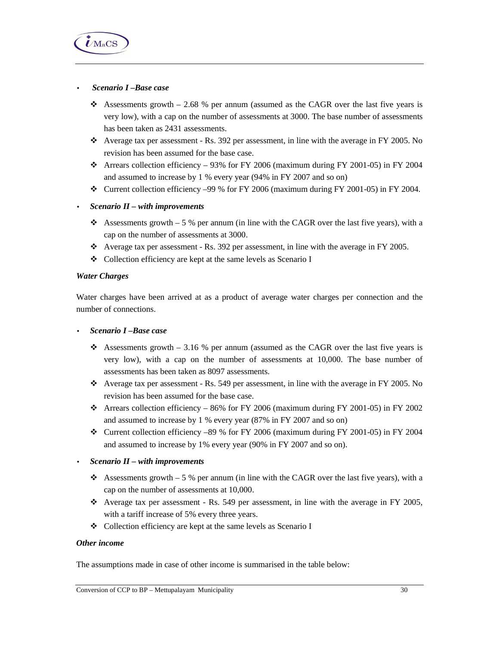

### • *Scenario I –Base case*

- Assessments growth  $-2.68$  % per annum (assumed as the CAGR over the last five years is very low), with a cap on the number of assessments at 3000. The base number of assessments has been taken as 2431 assessments.
- Average tax per assessment Rs. 392 per assessment, in line with the average in FY 2005. No revision has been assumed for the base case.
- Arrears collection efficiency 93% for FY 2006 (maximum during FY 2001-05) in FY 2004 and assumed to increase by 1 % every year (94% in FY 2007 and so on)
- $\div$  Current collection efficiency –99 % for FY 2006 (maximum during FY 2001-05) in FY 2004.

## • *Scenario II – with improvements*

- Assessments growth 5 % per annum (in line with the CAGR over the last five years), with a cap on the number of assessments at 3000.
- $\bullet$  Average tax per assessment Rs. 392 per assessment, in line with the average in FY 2005.
- Collection efficiency are kept at the same levels as Scenario I

### *Water Charges*

Water charges have been arrived at as a product of average water charges per connection and the number of connections.

• *Scenario I –Base case*

- Assessments growth 3.16 % per annum (assumed as the CAGR over the last five years is very low), with a cap on the number of assessments at 10,000. The base number of assessments has been taken as 8097 assessments.
- $\bullet$  Average tax per assessment Rs. 549 per assessment, in line with the average in FY 2005. No revision has been assumed for the base case.
- $\div$  Arrears collection efficiency 86% for FY 2006 (maximum during FY 2001-05) in FY 2002 and assumed to increase by 1 % every year (87% in FY 2007 and so on)
- $\div$  Current collection efficiency –89 % for FY 2006 (maximum during FY 2001-05) in FY 2004 and assumed to increase by 1% every year (90% in FY 2007 and so on).

### • *Scenario II – with improvements*

- Assessments growth  $-5\%$  per annum (in line with the CAGR over the last five years), with a cap on the number of assessments at 10,000.
- $\div$  Average tax per assessment Rs. 549 per assessment, in line with the average in FY 2005, with a tariff increase of 5% every three years.
- Collection efficiency are kept at the same levels as Scenario I

#### *Other income*

The assumptions made in case of other income is summarised in the table below: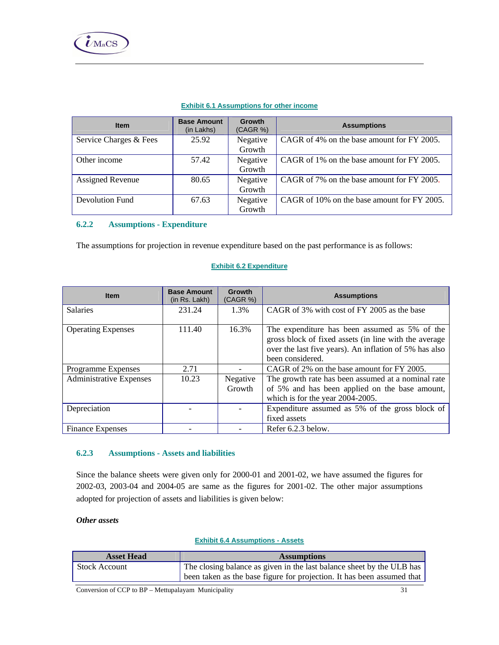#### **Exhibit 6.1 Assumptions for other income**

| <b>Item</b>             | <b>Base Amount</b><br>(in Lakhs) | <b>Growth</b><br>(CAGR %) | <b>Assumptions</b>                          |
|-------------------------|----------------------------------|---------------------------|---------------------------------------------|
| Service Charges & Fees  | 25.92                            | Negative<br>Growth        | CAGR of 4% on the base amount for FY 2005.  |
|                         |                                  |                           |                                             |
| Other income            | 57.42                            | Negative                  | CAGR of 1% on the base amount for FY 2005.  |
|                         |                                  | Growth                    |                                             |
| <b>Assigned Revenue</b> | 80.65                            | Negative                  | CAGR of 7% on the base amount for FY 2005.  |
|                         |                                  | Growth                    |                                             |
| Devolution Fund         | 67.63                            | Negative                  | CAGR of 10% on the base amount for FY 2005. |
|                         |                                  | Growth                    |                                             |

## **6.2.2 Assumptions - Expenditure**

The assumptions for projection in revenue expenditure based on the past performance is as follows:

#### **Exhibit 6.2 Expenditure**

| <b>Item</b>                    | <b>Base Amount</b><br>(in Rs. Lakh) | Growth<br>(CAGR %) | <b>Assumptions</b>                                                                                                                                                                   |
|--------------------------------|-------------------------------------|--------------------|--------------------------------------------------------------------------------------------------------------------------------------------------------------------------------------|
| <b>Salaries</b>                | 231.24                              | 1.3%               | CAGR of 3% with cost of FY 2005 as the base                                                                                                                                          |
| <b>Operating Expenses</b>      | 111.40                              | 16.3%              | The expenditure has been assumed as 5% of the<br>gross block of fixed assets (in line with the average<br>over the last five years). An inflation of 5% has also<br>been considered. |
| <b>Programme Expenses</b>      | 2.71                                |                    | CAGR of 2% on the base amount for FY 2005.                                                                                                                                           |
| <b>Administrative Expenses</b> | 10.23                               | Negative<br>Growth | The growth rate has been assumed at a nominal rate<br>of 5% and has been applied on the base amount,<br>which is for the year 2004-2005.                                             |
| Depreciation                   |                                     |                    | Expenditure assumed as 5% of the gross block of<br>fixed assets                                                                                                                      |
| <b>Finance Expenses</b>        |                                     |                    | Refer 6.2.3 below.                                                                                                                                                                   |

## **6.2.3 Assumptions - Assets and liabilities**

Since the balance sheets were given only for 2000-01 and 2001-02, we have assumed the figures for 2002-03, 2003-04 and 2004-05 are same as the figures for 2001-02. The other major assumptions adopted for projection of assets and liabilities is given below:

## *Other assets*

## **Exhibit 6.4 Assumptions - Assets**

| <b>Asset Head</b>    | <b>Assumptions</b>                                                     |
|----------------------|------------------------------------------------------------------------|
| <b>Stock Account</b> | The closing balance as given in the last balance sheet by the ULB has  |
|                      | been taken as the base figure for projection. It has been assumed that |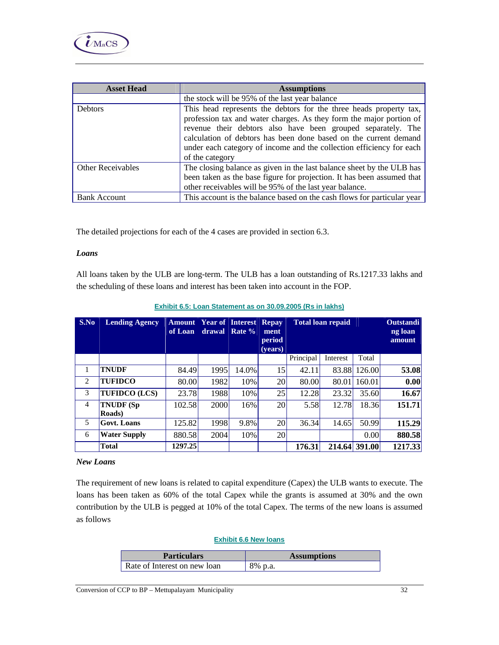

| <b>Asset Head</b>        | <b>Assumptions</b>                                                                                                                                                                                                                                                                                                                                                       |
|--------------------------|--------------------------------------------------------------------------------------------------------------------------------------------------------------------------------------------------------------------------------------------------------------------------------------------------------------------------------------------------------------------------|
|                          | the stock will be 95% of the last year balance                                                                                                                                                                                                                                                                                                                           |
| <b>Debtors</b>           | This head represents the debtors for the three heads property tax,<br>profession tax and water charges. As they form the major portion of<br>revenue their debtors also have been grouped separately. The<br>calculation of debtors has been done based on the current demand<br>under each category of income and the collection efficiency for each<br>of the category |
| <b>Other Receivables</b> | The closing balance as given in the last balance sheet by the ULB has<br>been taken as the base figure for projection. It has been assumed that<br>other receivables will be 95% of the last year balance.                                                                                                                                                               |
| <b>Bank Account</b>      | This account is the balance based on the cash flows for particular year                                                                                                                                                                                                                                                                                                  |

The detailed projections for each of the 4 cases are provided in section 6.3.

### *Loans*

All loans taken by the ULB are long-term. The ULB has a loan outstanding of Rs.1217.33 lakhs and the scheduling of these loans and interest has been taken into account in the FOP.

| S.No | <b>Lending Agency</b> | <b>Amount</b><br>of Loan | drawal      | <b>Year of Interest</b><br>Rate % | <b>Repay</b><br>ment<br>period<br>(vears) | <b>Total loan repaid</b> |          |               | <b>Outstandi</b><br>ng loan<br>amount |
|------|-----------------------|--------------------------|-------------|-----------------------------------|-------------------------------------------|--------------------------|----------|---------------|---------------------------------------|
|      |                       |                          |             |                                   |                                           | Principal                | Interest | Total         |                                       |
| 1    | <b>TNUDF</b>          | 84.49                    | 1995        | 14.0%                             | 15                                        | 42.11                    | 83.88    | 126.00        | 53.08                                 |
| 2    | TUFIDCO               | 80.00                    | 1982        | 10%                               | 20                                        | 80.00                    | 80.01    | 160.01        | 0.00                                  |
| 3    | <b>TUFIDCO (LCS)</b>  | 23.78                    | 1988        | 10%                               | 25                                        | 12.28                    | 23.32    | 35.60         | 16.67                                 |
| 4    | TNUDF (Sp<br>Roads)   | 102.58                   | <b>2000</b> | 16%                               | 20                                        | 5.58                     | 12.78    | 18.36         | 151.71                                |
| 5    | <b>Govt.</b> Loans    | 125.82                   | 1998        | 9.8%                              | 20                                        | 36.34                    | 14.65    | 50.99         | 115.29                                |
| 6    | <b>Water Supply</b>   | 880.58                   | 2004        | 10%                               | 20                                        |                          |          | 0.00          | 880.58                                |
|      | Total                 | 1297.25                  |             |                                   |                                           | 176.31                   |          | 214.64 391.00 | 1217.33                               |

#### *New Loans*

The requirement of new loans is related to capital expenditure (Capex) the ULB wants to execute. The loans has been taken as 60% of the total Capex while the grants is assumed at 30% and the own contribution by the ULB is pegged at 10% of the total Capex. The terms of the new loans is assumed as follows

#### **Exhibit 6.6 New loans**

| <b>Particulars</b>           | <b>Assumptions</b> |
|------------------------------|--------------------|
| Rate of Interest on new loan | 8% p.a.            |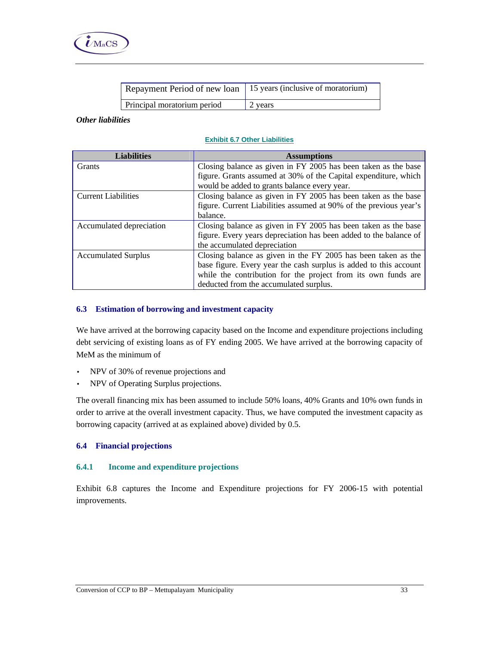

| Repayment Period of new loan   15 years (inclusive of moratorium) |         |
|-------------------------------------------------------------------|---------|
| Principal moratorium period                                       | 2 years |

#### *Other liabilities*

#### **Exhibit 6.7 Other Liabilities**

| <b>Liabilities</b>         | <b>Assumptions</b>                                                |  |  |  |
|----------------------------|-------------------------------------------------------------------|--|--|--|
| <b>Grants</b>              | Closing balance as given in FY 2005 has been taken as the base    |  |  |  |
|                            | figure. Grants assumed at 30% of the Capital expenditure, which   |  |  |  |
|                            | would be added to grants balance every year.                      |  |  |  |
| <b>Current Liabilities</b> | Closing balance as given in FY 2005 has been taken as the base    |  |  |  |
|                            | figure. Current Liabilities assumed at 90% of the previous year's |  |  |  |
|                            | balance.                                                          |  |  |  |
| Accumulated depreciation   | Closing balance as given in FY 2005 has been taken as the base    |  |  |  |
|                            | figure. Every years depreciation has been added to the balance of |  |  |  |
|                            | the accumulated depreciation                                      |  |  |  |
| <b>Accumulated Surplus</b> | Closing balance as given in the FY 2005 has been taken as the     |  |  |  |
|                            | base figure. Every year the cash surplus is added to this account |  |  |  |
|                            | while the contribution for the project from its own funds are     |  |  |  |
|                            | deducted from the accumulated surplus.                            |  |  |  |

## **6.3 Estimation of borrowing and investment capacity**

We have arrived at the borrowing capacity based on the Income and expenditure projections including debt servicing of existing loans as of FY ending 2005. We have arrived at the borrowing capacity of MeM as the minimum of

- NPV of 30% of revenue projections and
- NPV of Operating Surplus projections.

The overall financing mix has been assumed to include 50% loans, 40% Grants and 10% own funds in order to arrive at the overall investment capacity. Thus, we have computed the investment capacity as borrowing capacity (arrived at as explained above) divided by 0.5.

## **6.4 Financial projections**

### **6.4.1 Income and expenditure projections**

Exhibit 6.8 captures the Income and Expenditure projections for FY 2006-15 with potential improvements.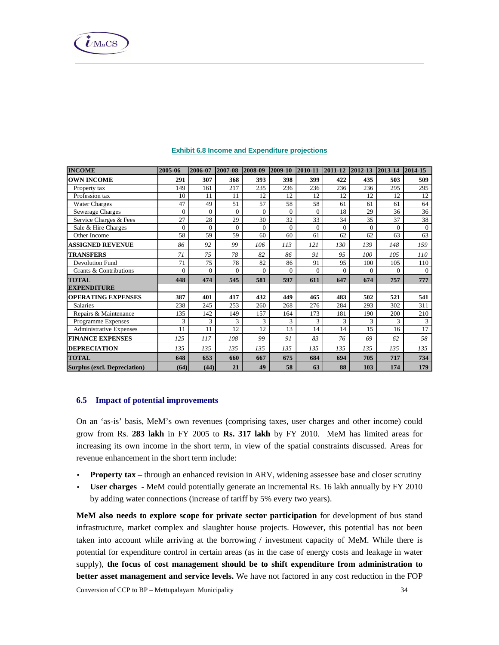| <b>INCOME</b>                       | 2005-06        | 2006-07  | 2007-08  | 2008-09      | 2009-10  | 2010-11        | $ 2011-12 $ | $ 2012 - 13 $ | $ 2013 - 14 $ | 2014-15        |
|-------------------------------------|----------------|----------|----------|--------------|----------|----------------|-------------|---------------|---------------|----------------|
| <b>OWN INCOME</b>                   | 291            | 307      | 368      | 393          | 398      | 399            | 422         | 435           | 503           | 509            |
| Property tax                        | 149            | 161      | 217      | 235          | 236      | 236            | 236         | 236           | 295           | 295            |
| Profession tax                      | 10             | 11       | 11       | 12           | 12       | 12             | 12          | 12            | 12            | 12             |
| <b>Water Charges</b>                | 47             | 49       | 51       | 57           | 58       | 58             | 61          | 61            | 61            | 64             |
| Sewerage Charges                    | 0              | $\Omega$ | $\theta$ | $\mathbf{0}$ | $\Omega$ | $\overline{0}$ | 18          | 29            | 36            | 36             |
| Service Charges & Fees              | 27             | 28       | 29       | 30           | 32       | 33             | 34          | 35            | 37            | 38             |
| Sale & Hire Charges                 | $\Omega$       | $\Omega$ | $\Omega$ | $\Omega$     | $\Omega$ | $\Omega$       | $\Omega$    | $\Omega$      | $\Omega$      | $\mathbf{0}$   |
| Other Income                        | 58             | 59       | 59       | 60           | 60       | 61             | 62          | 62            | 63            | 63             |
| <b>ASSIGNED REVENUE</b>             | 86             | 92       | 99       | 106          | 113      | 121            | 130         | 139           | 148           | 159            |
| TRANSFERS                           | 71             | 75       | 78       | 82           | 86       | 91             | 95          | 100           | 105           | 110            |
| <b>Devolution Fund</b>              | 71             | 75       | 78       | 82           | 86       | 91             | 95          | 100           | 105           | 110            |
| Grants & Contributions              | $\overline{0}$ | $\Omega$ | $\Omega$ | $\Omega$     | $\Omega$ | $\theta$       | $\Omega$    | $\Omega$      | $\Omega$      | $\overline{0}$ |
| TOTAL                               | 448            | 474      | 545      | 581          | 597      | 611            | 647         | 674           | 757           | 777            |
| <b>EXPENDITURE</b>                  |                |          |          |              |          |                |             |               |               |                |
| <b>OPERATING EXPENSES</b>           | 387            | 401      | 417      | 432          | 449      | 465            | 483         | 502           | 521           | 541            |
| <b>Salaries</b>                     | 238            | 245      | 253      | 260          | 268      | 276            | 284         | 293           | 302           | 311            |
| Repairs & Maintenance               | 135            | 142      | 149      | 157          | 164      | 173            | 181         | 190           | 200           | 210            |
| Programme Expenses                  | 3              | 3        | 3        | 3            | 3        | 3              | 3           | 3             | 3             | 3              |
| Administrative Expenses             | 11             | 11       | 12       | 12           | 13       | 14             | 14          | 15            | 16            | 17             |
| <b>FINANCE EXPENSES</b>             | 125            | 117      | 108      | 99           | 91       | 83             | 76          | 69            | 62            | 58             |
| <b>DEPRECIATION</b>                 | 135            | 135      | 135      | 135          | 135      | 135            | 135         | 135           | 135           | 135            |
| <b>TOTAL</b>                        | 648            | 653      | 660      | 667          | 675      | 684            | 694         | 705           | 717           | 734            |
| <b>Surplus (excl. Depreciation)</b> | (64)           | (44)     | 21       | 49           | 58       | 63             | 88          | 103           | 174           | 179            |

### **Exhibit 6.8 Income and Expenditure projections**

## **6.5 Impact of potential improvements**

On an 'as-is' basis, MeM's own revenues (comprising taxes, user charges and other income) could grow from Rs. **283 lakh** in FY 2005 to **Rs. 317 lakh** by FY 2010. MeM has limited areas for increasing its own income in the short term, in view of the spatial constraints discussed. Areas for revenue enhancement in the short term include:

- **Property tax** through an enhanced revision in ARV, widening assessee base and closer scrutiny
- **User charges**  MeM could potentially generate an incremental Rs. 16 lakh annually by FY 2010 by adding water connections (increase of tariff by 5% every two years).

**MeM also needs to explore scope for private sector participation** for development of bus stand infrastructure, market complex and slaughter house projects. However, this potential has not been taken into account while arriving at the borrowing / investment capacity of MeM. While there is potential for expenditure control in certain areas (as in the case of energy costs and leakage in water supply), **the focus of cost management should be to shift expenditure from administration to better asset management and service levels.** We have not factored in any cost reduction in the FOP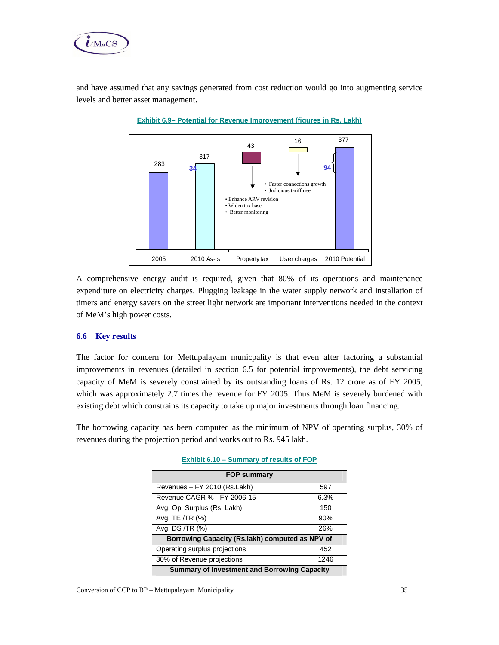

and have assumed that any savings generated from cost reduction would go into augmenting service levels and better asset management.





A comprehensive energy audit is required, given that 80% of its operations and maintenance expenditure on electricity charges. Plugging leakage in the water supply network and installation of timers and energy savers on the street light network are important interventions needed in the context of MeM's high power costs.

### **6.6 Key results**

The factor for concern for Mettupalayam municpality is that even after factoring a substantial improvements in revenues (detailed in section 6.5 for potential improvements), the debt servicing capacity of MeM is severely constrained by its outstanding loans of Rs. 12 crore as of FY 2005, which was approximately 2.7 times the revenue for FY 2005. Thus MeM is severely burdened with existing debt which constrains its capacity to take up major investments through loan financing.

The borrowing capacity has been computed as the minimum of NPV of operating surplus, 30% of revenues during the projection period and works out to Rs. 945 lakh.

| <b>FOP summary</b>                                  |      |  |  |  |
|-----------------------------------------------------|------|--|--|--|
| Revenues - FY 2010 (Rs.Lakh)                        | 597  |  |  |  |
| Revenue CAGR % - FY 2006-15                         | 6.3% |  |  |  |
| Avg. Op. Surplus (Rs. Lakh)                         | 150  |  |  |  |
| Avg. TE /TR (%)                                     | 90%  |  |  |  |
| Avg. DS /TR (%)                                     | 26%  |  |  |  |
| Borrowing Capacity (Rs.lakh) computed as NPV of     |      |  |  |  |
| Operating surplus projections                       | 452  |  |  |  |
| 30% of Revenue projections                          | 1246 |  |  |  |
| <b>Summary of Investment and Borrowing Capacity</b> |      |  |  |  |

|  | Exhibit 6.10 - Summary of results of FOP |  |  |
|--|------------------------------------------|--|--|
|  |                                          |  |  |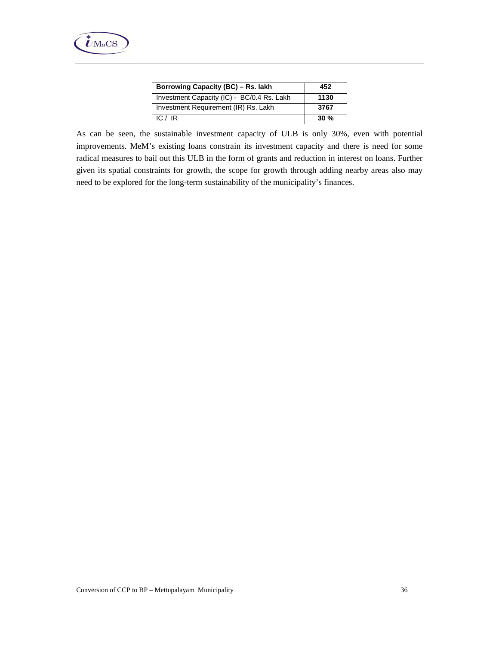| Borrowing Capacity (BC) - Rs. lakh         | 452  |
|--------------------------------------------|------|
| Investment Capacity (IC) - BC/0.4 Rs. Lakh | 1130 |
| Investment Requirement (IR) Rs. Lakh       | 3767 |
| IC $/$ IR                                  | 30%  |

As can be seen, the sustainable investment capacity of ULB is only 30%, even with potential improvements. MeM's existing loans constrain its investment capacity and there is need for some radical measures to bail out this ULB in the form of grants and reduction in interest on loans. Further given its spatial constraints for growth, the scope for growth through adding nearby areas also may need to be explored for the long-term sustainability of the municipality's finances.